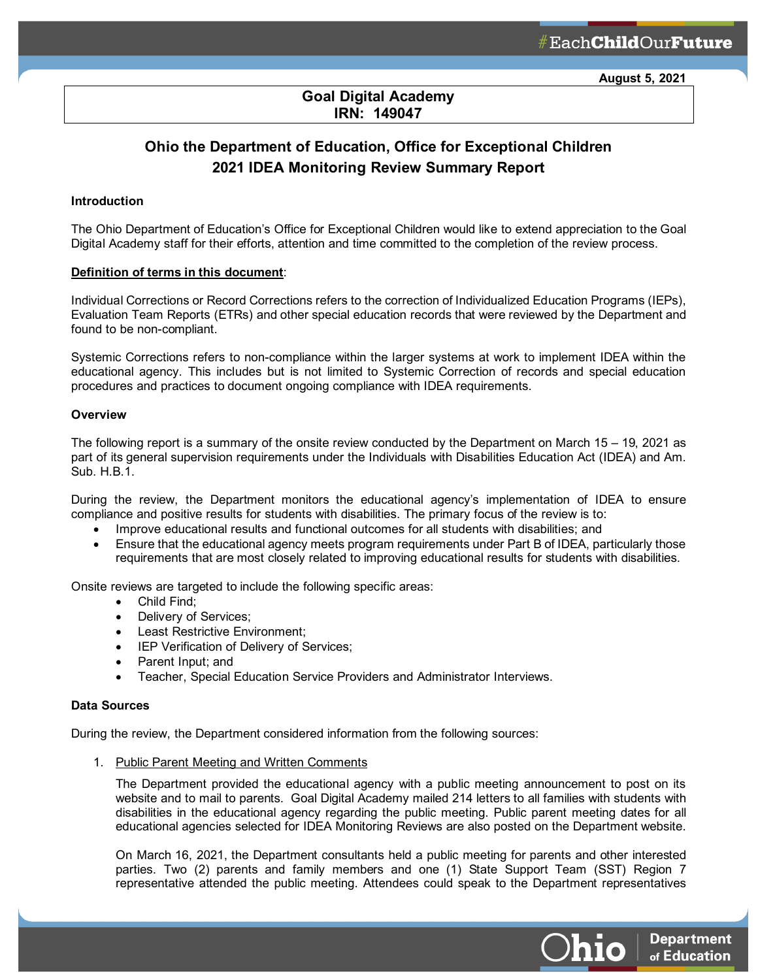# **Goal Digital Academy IRN: 149047**

ł

# **Ohio the Department of Education, Office for Exceptional Children 2021 IDEA Monitoring Review Summary Report**

## **Introduction**

The Ohio Department of Education's Office for Exceptional Children would like to extend appreciation to the Goal Digital Academy staff for their efforts, attention and time committed to the completion of the review process.

#### **Definition of terms in this document**:

Individual Corrections or Record Corrections refers to the correction of Individualized Education Programs (IEPs), Evaluation Team Reports (ETRs) and other special education records that were reviewed by the Department and found to be non-compliant.

Systemic Corrections refers to non-compliance within the larger systems at work to implement IDEA within the educational agency. This includes but is not limited to Systemic Correction of records and special education procedures and practices to document ongoing compliance with IDEA requirements.

#### **Overview**

The following report is a summary of the onsite review conducted by the Department on March 15 – 19, 2021 as part of its general supervision requirements under the Individuals with Disabilities Education Act (IDEA) and Am. Sub. H.B.1.

During the review, the Department monitors the educational agency's implementation of IDEA to ensure compliance and positive results for students with disabilities. The primary focus of the review is to:

- Improve educational results and functional outcomes for all students with disabilities; and
- Ensure that the educational agency meets program requirements under Part B of IDEA, particularly those requirements that are most closely related to improving educational results for students with disabilities.

Onsite reviews are targeted to include the following specific areas:

- Child Find;
- Delivery of Services;
- Least Restrictive Environment;
- IEP Verification of Delivery of Services;
- Parent Input; and
- Teacher, Special Education Service Providers and Administrator Interviews.

#### **Data Sources**

During the review, the Department considered information from the following sources:

1. Public Parent Meeting and Written Comments

The Department provided the educational agency with a public meeting announcement to post on its website and to mail to parents. Goal Digital Academy mailed 214 letters to all families with students with disabilities in the educational agency regarding the public meeting. Public parent meeting dates for all educational agencies selected for IDEA Monitoring Reviews are also posted on the Department website.

On March 16, 2021, the Department consultants held a public meeting for parents and other interested parties. Two (2) parents and family members and one (1) State Support Team (SST) Region 7 representative attended the public meeting. Attendees could speak to the Department representatives

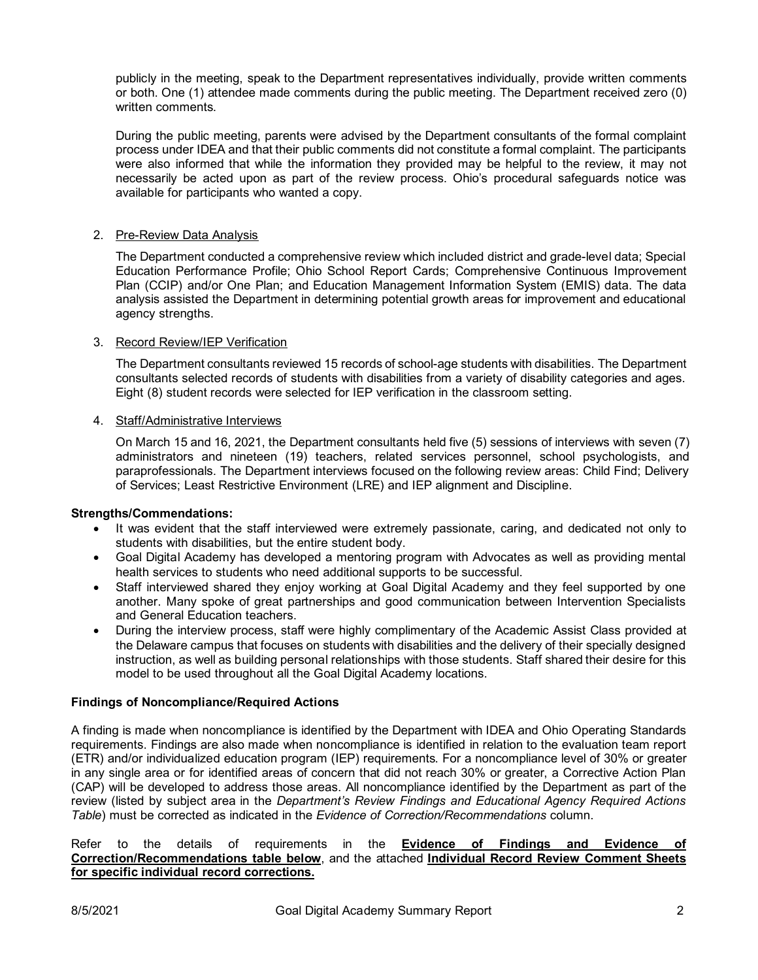publicly in the meeting, speak to the Department representatives individually, provide written comments or both. One (1) attendee made comments during the public meeting. The Department received zero (0) written comments.

During the public meeting, parents were advised by the Department consultants of the formal complaint process under IDEA and that their public comments did not constitute a formal complaint. The participants were also informed that while the information they provided may be helpful to the review, it may not necessarily be acted upon as part of the review process. Ohio's procedural safeguards notice was available for participants who wanted a copy.

# 2. Pre-Review Data Analysis

The Department conducted a comprehensive review which included district and grade-level data; Special Education Performance Profile; Ohio School Report Cards; Comprehensive Continuous Improvement Plan (CCIP) and/or One Plan; and Education Management Information System (EMIS) data. The data analysis assisted the Department in determining potential growth areas for improvement and educational agency strengths.

## 3. Record Review/IEP Verification

The Department consultants reviewed 15 records of school-age students with disabilities. The Department consultants selected records of students with disabilities from a variety of disability categories and ages. Eight (8) student records were selected for IEP verification in the classroom setting.

#### 4. Staff/Administrative Interviews

On March 15 and 16, 2021, the Department consultants held five (5) sessions of interviews with seven (7) administrators and nineteen (19) teachers, related services personnel, school psychologists, and paraprofessionals. The Department interviews focused on the following review areas: Child Find; Delivery of Services; Least Restrictive Environment (LRE) and IEP alignment and Discipline.

## **Strengths/Commendations:**

- It was evident that the staff interviewed were extremely passionate, caring, and dedicated not only to students with disabilities, but the entire student body.
- Goal Digital Academy has developed a mentoring program with Advocates as well as providing mental health services to students who need additional supports to be successful.
- Staff interviewed shared they enjoy working at Goal Digital Academy and they feel supported by one another. Many spoke of great partnerships and good communication between Intervention Specialists and General Education teachers.
- During the interview process, staff were highly complimentary of the Academic Assist Class provided at the Delaware campus that focuses on students with disabilities and the delivery of their specially designed instruction, as well as building personal relationships with those students. Staff shared their desire for this model to be used throughout all the Goal Digital Academy locations.

## **Findings of Noncompliance/Required Actions**

A finding is made when noncompliance is identified by the Department with IDEA and Ohio Operating Standards requirements. Findings are also made when noncompliance is identified in relation to the evaluation team report (ETR) and/or individualized education program (IEP) requirements. For a noncompliance level of 30% or greater in any single area or for identified areas of concern that did not reach 30% or greater, a Corrective Action Plan (CAP) will be developed to address those areas. All noncompliance identified by the Department as part of the review (listed by subject area in the *Department's Review Findings and Educational Agency Required Actions Table*) must be corrected as indicated in the *Evidence of Correction/Recommendations* column.

#### Refer to the details of requirements in the **Evidence of Findings and Evidence of Correction/Recommendations table below**, and the attached **Individual Record Review Comment Sheets for specific individual record corrections.**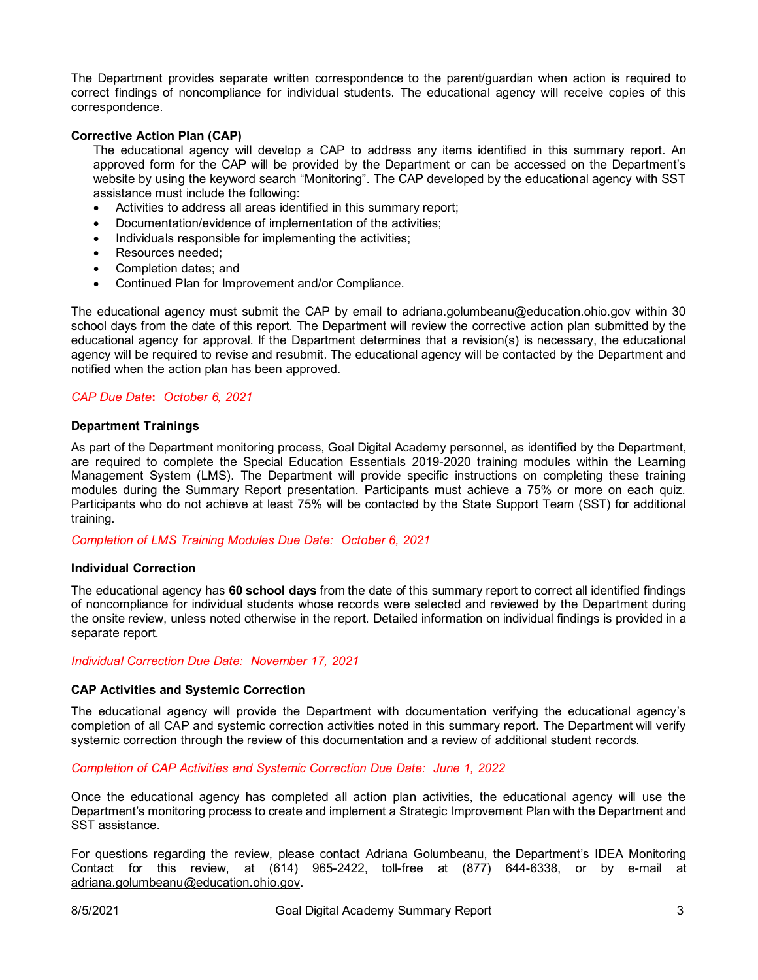The Department provides separate written correspondence to the parent/guardian when action is required to correct findings of noncompliance for individual students. The educational agency will receive copies of this correspondence.

## **Corrective Action Plan (CAP)**

The educational agency will develop a CAP to address any items identified in this summary report. An approved form for the CAP will be provided by the Department or can be accessed on the Department's website by using the keyword search "Monitoring". The CAP developed by the educational agency with SST assistance must include the following:

- Activities to address all areas identified in this summary report;
- Documentation/evidence of implementation of the activities;
- Individuals responsible for implementing the activities;
- Resources needed;
- Completion dates; and
- Continued Plan for Improvement and/or Compliance.

The educational agency must submit the CAP by email to [adriana.golumbeanu@education.ohio.gov](mailto:adriana.golumbeanu@education.ohio.gov) within 30 school days from the date of this report. The Department will review the corrective action plan submitted by the educational agency for approval. If the Department determines that a revision(s) is necessary, the educational agency will be required to revise and resubmit. The educational agency will be contacted by the Department and notified when the action plan has been approved.

## *CAP Due Date***:** *October 6, 2021*

#### **Department Trainings**

As part of the Department monitoring process, Goal Digital Academy personnel, as identified by the Department, are required to complete the Special Education Essentials 2019-2020 training modules within the Learning Management System (LMS). The Department will provide specific instructions on completing these training modules during the Summary Report presentation. Participants must achieve a 75% or more on each quiz. Participants who do not achieve at least 75% will be contacted by the State Support Team (SST) for additional training.

*Completion of LMS Training Modules Due Date: October 6, 2021*

#### **Individual Correction**

The educational agency has **60 school days** from the date of this summary report to correct all identified findings of noncompliance for individual students whose records were selected and reviewed by the Department during the onsite review, unless noted otherwise in the report. Detailed information on individual findings is provided in a separate report.

#### *Individual Correction Due Date: November 17, 2021*

## **CAP Activities and Systemic Correction**

The educational agency will provide the Department with documentation verifying the educational agency's completion of all CAP and systemic correction activities noted in this summary report. The Department will verify systemic correction through the review of this documentation and a review of additional student records.

*Completion of CAP Activities and Systemic Correction Due Date: June 1, 2022*

Once the educational agency has completed all action plan activities, the educational agency will use the Department's monitoring process to create and implement a Strategic Improvement Plan with the Department and SST assistance.

For questions regarding the review, please contact Adriana Golumbeanu, the Department's IDEA Monitoring Contact for this review, at (614) 965-2422, toll-free at (877) 644-6338, or by e-mail at [adriana.golumbeanu@education.ohio.gov.](mailto:adriana.golumbeanu@education.ohio.gov)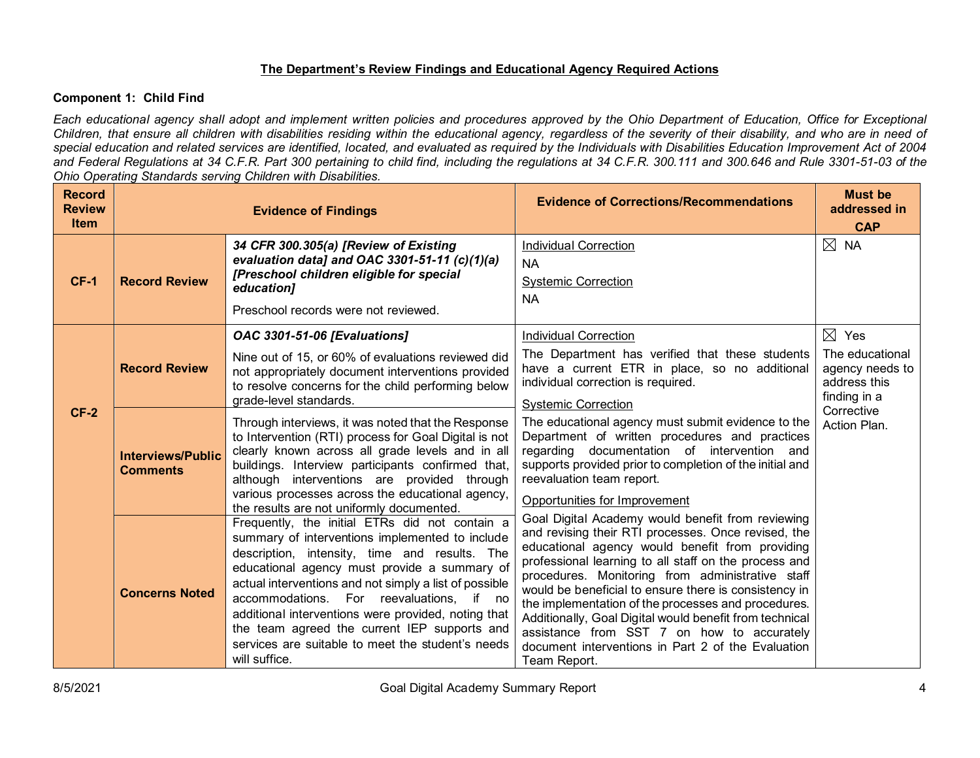# **The Department's Review Findings and Educational Agency Required Actions**

# **Component 1: Child Find**

*Each educational agency shall adopt and implement written policies and procedures approved by the Ohio Department of Education, Office for Exceptional Children, that ensure all children with disabilities residing within the educational agency, regardless of the severity of their disability, and who are in need of special education and related services are identified, located, and evaluated as required by the Individuals with Disabilities Education Improvement Act of 2004 and Federal Regulations at 34 C.F.R. Part 300 pertaining to child find, including the regulations at 34 C.F.R. 300.111 and 300.646 and Rule 3301-51-03 of the Ohio Operating Standards serving Children with Disabilities.* 

| <b>Record</b><br><b>Review</b><br><b>Item</b> |                                             | <b>Evidence of Findings</b>                                                                                                                                                                                                                                                                                                                                                                                                                                                           | <b>Evidence of Corrections/Recommendations</b>                                                                                                                                                                                                                                                                                                                                                                                                                                                                                                                          | <b>Must be</b><br>addressed in<br><b>CAP</b>                                          |
|-----------------------------------------------|---------------------------------------------|---------------------------------------------------------------------------------------------------------------------------------------------------------------------------------------------------------------------------------------------------------------------------------------------------------------------------------------------------------------------------------------------------------------------------------------------------------------------------------------|-------------------------------------------------------------------------------------------------------------------------------------------------------------------------------------------------------------------------------------------------------------------------------------------------------------------------------------------------------------------------------------------------------------------------------------------------------------------------------------------------------------------------------------------------------------------------|---------------------------------------------------------------------------------------|
| $CF-1$                                        | <b>Record Review</b>                        | 34 CFR 300.305(a) [Review of Existing<br>evaluation data] and OAC 3301-51-11 (c)(1)(a)<br>[Preschool children eligible for special<br>education]<br>Preschool records were not reviewed.                                                                                                                                                                                                                                                                                              | <b>Individual Correction</b><br><b>NA</b><br><b>Systemic Correction</b><br><b>NA</b>                                                                                                                                                                                                                                                                                                                                                                                                                                                                                    | $\boxtimes$ NA                                                                        |
|                                               | <b>Record Review</b>                        | OAC 3301-51-06 [Evaluations]<br>Nine out of 15, or 60% of evaluations reviewed did<br>not appropriately document interventions provided<br>to resolve concerns for the child performing below<br>grade-level standards.                                                                                                                                                                                                                                                               | <b>Individual Correction</b><br>The Department has verified that these students<br>have a current ETR in place, so no additional<br>individual correction is required.<br><b>Systemic Correction</b>                                                                                                                                                                                                                                                                                                                                                                    | $\boxtimes$ Yes<br>The educational<br>agency needs to<br>address this<br>finding in a |
| $CF-2$                                        | <b>Interviews/Public</b><br><b>Comments</b> | Through interviews, it was noted that the Response<br>to Intervention (RTI) process for Goal Digital is not<br>clearly known across all grade levels and in all<br>buildings. Interview participants confirmed that,<br>although interventions are provided through<br>various processes across the educational agency,<br>the results are not uniformly documented.                                                                                                                  | The educational agency must submit evidence to the<br>Department of written procedures and practices<br>regarding documentation of intervention and<br>supports provided prior to completion of the initial and<br>reevaluation team report.<br>Opportunities for Improvement                                                                                                                                                                                                                                                                                           | Corrective<br>Action Plan.                                                            |
|                                               | <b>Concerns Noted</b>                       | Frequently, the initial ETRs did not contain a<br>summary of interventions implemented to include<br>description, intensity, time and results. The<br>educational agency must provide a summary of<br>actual interventions and not simply a list of possible<br>accommodations. For reevaluations, if no<br>additional interventions were provided, noting that<br>the team agreed the current IEP supports and<br>services are suitable to meet the student's needs<br>will suffice. | Goal Digital Academy would benefit from reviewing<br>and revising their RTI processes. Once revised, the<br>educational agency would benefit from providing<br>professional learning to all staff on the process and<br>procedures. Monitoring from administrative staff<br>would be beneficial to ensure there is consistency in<br>the implementation of the processes and procedures.<br>Additionally, Goal Digital would benefit from technical<br>assistance from SST 7 on how to accurately<br>document interventions in Part 2 of the Evaluation<br>Team Report. |                                                                                       |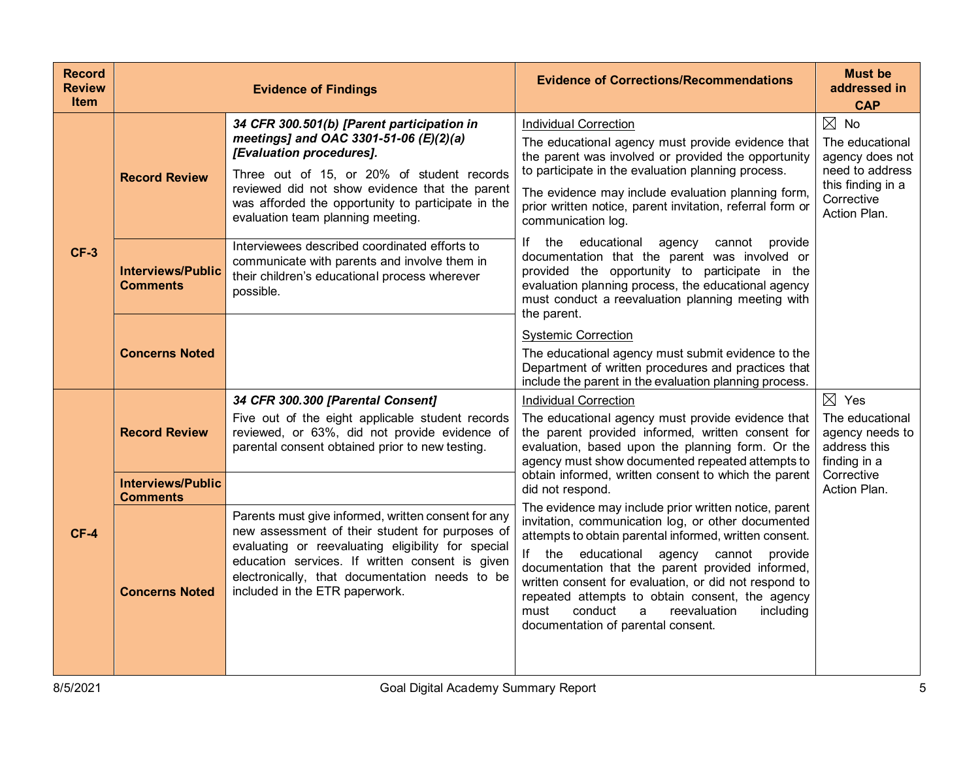| <b>Record</b><br><b>Review</b><br><b>Item</b> |                                             | <b>Evidence of Findings</b>                                                                                                                                                                                                                                                                                 | <b>Evidence of Corrections/Recommendations</b>                                                                                                                                                                                                                                                                                                                                                                                                                               | <b>Must be</b><br>addressed in<br><b>CAP</b>                                                                               |
|-----------------------------------------------|---------------------------------------------|-------------------------------------------------------------------------------------------------------------------------------------------------------------------------------------------------------------------------------------------------------------------------------------------------------------|------------------------------------------------------------------------------------------------------------------------------------------------------------------------------------------------------------------------------------------------------------------------------------------------------------------------------------------------------------------------------------------------------------------------------------------------------------------------------|----------------------------------------------------------------------------------------------------------------------------|
| $CF-3$                                        | <b>Record Review</b>                        | 34 CFR 300.501(b) [Parent participation in<br>meetings] and OAC 3301-51-06 (E)(2)(a)<br>[Evaluation procedures].<br>Three out of 15, or 20% of student records<br>reviewed did not show evidence that the parent<br>was afforded the opportunity to participate in the<br>evaluation team planning meeting. | <b>Individual Correction</b><br>The educational agency must provide evidence that<br>the parent was involved or provided the opportunity<br>to participate in the evaluation planning process.<br>The evidence may include evaluation planning form,<br>prior written notice, parent invitation, referral form or<br>communication log.                                                                                                                                      | $\boxtimes$ No<br>The educational<br>agency does not<br>need to address<br>this finding in a<br>Corrective<br>Action Plan. |
|                                               | <b>Interviews/Public</b><br><b>Comments</b> | Interviewees described coordinated efforts to<br>communicate with parents and involve them in<br>their children's educational process wherever<br>possible.                                                                                                                                                 | If the educational<br>agency<br>cannot provide<br>documentation that the parent was involved or<br>provided the opportunity to participate in the<br>evaluation planning process, the educational agency<br>must conduct a reevaluation planning meeting with<br>the parent.                                                                                                                                                                                                 |                                                                                                                            |
|                                               | <b>Concerns Noted</b>                       |                                                                                                                                                                                                                                                                                                             | <b>Systemic Correction</b><br>The educational agency must submit evidence to the<br>Department of written procedures and practices that<br>include the parent in the evaluation planning process.                                                                                                                                                                                                                                                                            |                                                                                                                            |
|                                               | <b>Record Review</b>                        | 34 CFR 300.300 [Parental Consent]<br>Five out of the eight applicable student records<br>reviewed, or 63%, did not provide evidence of<br>parental consent obtained prior to new testing.                                                                                                                   | <b>Individual Correction</b><br>The educational agency must provide evidence that<br>the parent provided informed, written consent for<br>evaluation, based upon the planning form. Or the<br>agency must show documented repeated attempts to                                                                                                                                                                                                                               | $\boxtimes$ Yes<br>The educational<br>agency needs to<br>address this<br>finding in a                                      |
|                                               | <b>Interviews/Public</b><br><b>Comments</b> |                                                                                                                                                                                                                                                                                                             | obtain informed, written consent to which the parent<br>did not respond.                                                                                                                                                                                                                                                                                                                                                                                                     | Corrective<br>Action Plan.                                                                                                 |
| $CF-4$                                        | <b>Concerns Noted</b>                       | Parents must give informed, written consent for any<br>new assessment of their student for purposes of<br>evaluating or reevaluating eligibility for special<br>education services. If written consent is given<br>electronically, that documentation needs to be<br>included in the ETR paperwork.         | The evidence may include prior written notice, parent<br>invitation, communication log, or other documented<br>attempts to obtain parental informed, written consent.<br>If the educational agency cannot provide<br>documentation that the parent provided informed,<br>written consent for evaluation, or did not respond to<br>repeated attempts to obtain consent, the agency<br>must<br>conduct<br>reevaluation<br>including<br>a<br>documentation of parental consent. |                                                                                                                            |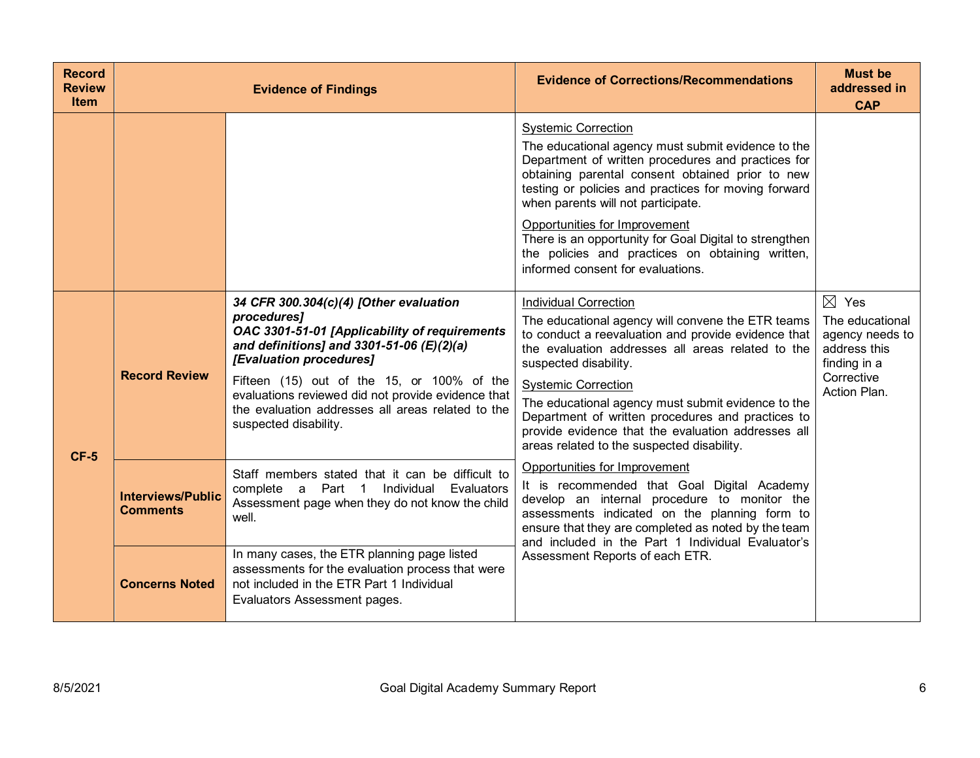| <b>Record</b><br><b>Review</b><br><b>Item</b> |                                             | <b>Evidence of Findings</b>                                                                                                                                                                                                                                                                                                                                        | <b>Evidence of Corrections/Recommendations</b>                                                                                                                                                                                                                                                                                                                                                                                                                               | <b>Must be</b><br>addressed in<br><b>CAP</b>                                                                        |
|-----------------------------------------------|---------------------------------------------|--------------------------------------------------------------------------------------------------------------------------------------------------------------------------------------------------------------------------------------------------------------------------------------------------------------------------------------------------------------------|------------------------------------------------------------------------------------------------------------------------------------------------------------------------------------------------------------------------------------------------------------------------------------------------------------------------------------------------------------------------------------------------------------------------------------------------------------------------------|---------------------------------------------------------------------------------------------------------------------|
|                                               |                                             |                                                                                                                                                                                                                                                                                                                                                                    | <b>Systemic Correction</b><br>The educational agency must submit evidence to the<br>Department of written procedures and practices for<br>obtaining parental consent obtained prior to new<br>testing or policies and practices for moving forward<br>when parents will not participate.<br>Opportunities for Improvement<br>There is an opportunity for Goal Digital to strengthen<br>the policies and practices on obtaining written,<br>informed consent for evaluations. |                                                                                                                     |
| $CF-5$                                        | <b>Record Review</b>                        | 34 CFR 300.304(c)(4) [Other evaluation<br>procedures]<br>OAC 3301-51-01 [Applicability of requirements<br>and definitions] and 3301-51-06 $(E)(2)(a)$<br>[Evaluation procedures]<br>Fifteen (15) out of the 15, or 100% of the<br>evaluations reviewed did not provide evidence that<br>the evaluation addresses all areas related to the<br>suspected disability. | <b>Individual Correction</b><br>The educational agency will convene the ETR teams<br>to conduct a reevaluation and provide evidence that<br>the evaluation addresses all areas related to the<br>suspected disability.<br><b>Systemic Correction</b><br>The educational agency must submit evidence to the<br>Department of written procedures and practices to<br>provide evidence that the evaluation addresses all<br>areas related to the suspected disability.          | $\boxtimes$ Yes<br>The educational<br>agency needs to<br>address this<br>finding in a<br>Corrective<br>Action Plan. |
|                                               | <b>Interviews/Public</b><br><b>Comments</b> | Staff members stated that it can be difficult to<br>complete a Part 1 Individual<br>Evaluators<br>Assessment page when they do not know the child<br>well.                                                                                                                                                                                                         | Opportunities for Improvement<br>It is recommended that Goal Digital Academy<br>develop an internal procedure to monitor the<br>assessments indicated on the planning form to<br>ensure that they are completed as noted by the team<br>and included in the Part 1 Individual Evaluator's                                                                                                                                                                                    |                                                                                                                     |
|                                               | <b>Concerns Noted</b>                       | In many cases, the ETR planning page listed<br>assessments for the evaluation process that were<br>not included in the ETR Part 1 Individual<br>Evaluators Assessment pages.                                                                                                                                                                                       | Assessment Reports of each ETR.                                                                                                                                                                                                                                                                                                                                                                                                                                              |                                                                                                                     |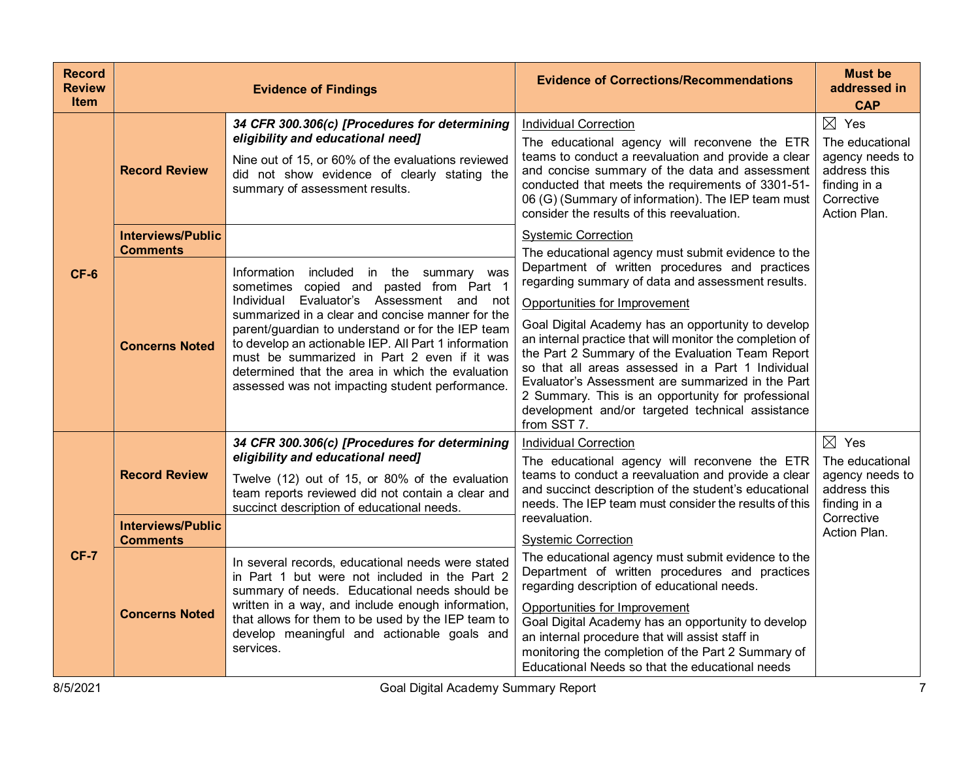| <b>Record</b><br><b>Review</b><br><b>Item</b> |                                                  | <b>Evidence of Findings</b>                                                                                                                                                                                                                                                                                                                                                                                                                               | <b>Evidence of Corrections/Recommendations</b>                                                                                                                                                                                                                                                                                                                                                                                                                                                                                                | <b>Must be</b><br>addressed in<br><b>CAP</b>                                                                        |
|-----------------------------------------------|--------------------------------------------------|-----------------------------------------------------------------------------------------------------------------------------------------------------------------------------------------------------------------------------------------------------------------------------------------------------------------------------------------------------------------------------------------------------------------------------------------------------------|-----------------------------------------------------------------------------------------------------------------------------------------------------------------------------------------------------------------------------------------------------------------------------------------------------------------------------------------------------------------------------------------------------------------------------------------------------------------------------------------------------------------------------------------------|---------------------------------------------------------------------------------------------------------------------|
|                                               | <b>Record Review</b>                             | 34 CFR 300.306(c) [Procedures for determining<br>eligibility and educational need]<br>Nine out of 15, or 60% of the evaluations reviewed<br>did not show evidence of clearly stating the<br>summary of assessment results.                                                                                                                                                                                                                                | <b>Individual Correction</b><br>The educational agency will reconvene the ETR<br>teams to conduct a reevaluation and provide a clear<br>and concise summary of the data and assessment<br>conducted that meets the requirements of 3301-51-<br>06 (G) (Summary of information). The IEP team must<br>consider the results of this reevaluation.                                                                                                                                                                                               | $\boxtimes$ Yes<br>The educational<br>agency needs to<br>address this<br>finding in a<br>Corrective<br>Action Plan. |
|                                               | <b>Interviews/Public</b><br><b>Comments</b>      |                                                                                                                                                                                                                                                                                                                                                                                                                                                           | <b>Systemic Correction</b><br>The educational agency must submit evidence to the                                                                                                                                                                                                                                                                                                                                                                                                                                                              |                                                                                                                     |
| $CF-6$                                        | <b>Concerns Noted</b>                            | Information included in the summary was<br>sometimes copied and pasted from Part 1<br>Evaluator's Assessment and not<br>Individual<br>summarized in a clear and concise manner for the<br>parent/guardian to understand or for the IEP team<br>to develop an actionable IEP. All Part 1 information<br>must be summarized in Part 2 even if it was<br>determined that the area in which the evaluation<br>assessed was not impacting student performance. | Department of written procedures and practices<br>regarding summary of data and assessment results.<br>Opportunities for Improvement<br>Goal Digital Academy has an opportunity to develop<br>an internal practice that will monitor the completion of<br>the Part 2 Summary of the Evaluation Team Report<br>so that all areas assessed in a Part 1 Individual<br>Evaluator's Assessment are summarized in the Part<br>2 Summary. This is an opportunity for professional<br>development and/or targeted technical assistance<br>from SST 7. |                                                                                                                     |
| $CF-7$                                        | <b>Record Review</b><br><b>Interviews/Public</b> | 34 CFR 300.306(c) [Procedures for determining<br>eligibility and educational need]<br>Twelve (12) out of 15, or 80% of the evaluation<br>team reports reviewed did not contain a clear and<br>succinct description of educational needs.                                                                                                                                                                                                                  | <b>Individual Correction</b><br>The educational agency will reconvene the ETR<br>teams to conduct a reevaluation and provide a clear<br>and succinct description of the student's educational<br>needs. The IEP team must consider the results of this<br>reevaluation.                                                                                                                                                                                                                                                                       | $\boxtimes$ Yes<br>The educational<br>agency needs to<br>address this<br>finding in a<br>Corrective<br>Action Plan. |
|                                               | <b>Comments</b><br><b>Concerns Noted</b>         | In several records, educational needs were stated<br>in Part 1 but were not included in the Part 2<br>summary of needs. Educational needs should be<br>written in a way, and include enough information,<br>that allows for them to be used by the IEP team to<br>develop meaningful and actionable goals and<br>services.                                                                                                                                | <b>Systemic Correction</b><br>The educational agency must submit evidence to the<br>Department of written procedures and practices<br>regarding description of educational needs.<br>Opportunities for Improvement<br>Goal Digital Academy has an opportunity to develop<br>an internal procedure that will assist staff in<br>monitoring the completion of the Part 2 Summary of<br>Educational Needs so that the educational needs                                                                                                          |                                                                                                                     |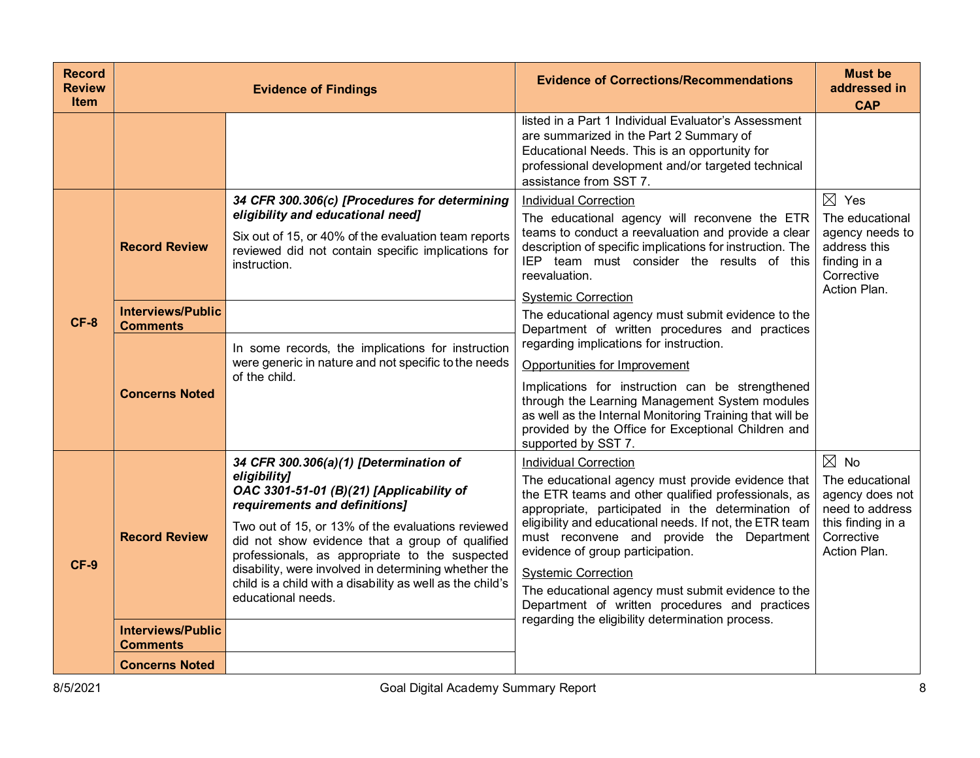| <b>Record</b><br><b>Review</b><br><b>Item</b> |                                                                                              | <b>Evidence of Findings</b>                                                                                                                                                                                                                                                                                                                                                                                                              | <b>Evidence of Corrections/Recommendations</b>                                                                                                                                                                                                                                                                                                                                                                                                                                                                                                                                                                                                                                                                                     | <b>Must be</b><br>addressed in<br><b>CAP</b>                                                                               |
|-----------------------------------------------|----------------------------------------------------------------------------------------------|------------------------------------------------------------------------------------------------------------------------------------------------------------------------------------------------------------------------------------------------------------------------------------------------------------------------------------------------------------------------------------------------------------------------------------------|------------------------------------------------------------------------------------------------------------------------------------------------------------------------------------------------------------------------------------------------------------------------------------------------------------------------------------------------------------------------------------------------------------------------------------------------------------------------------------------------------------------------------------------------------------------------------------------------------------------------------------------------------------------------------------------------------------------------------------|----------------------------------------------------------------------------------------------------------------------------|
|                                               |                                                                                              |                                                                                                                                                                                                                                                                                                                                                                                                                                          | listed in a Part 1 Individual Evaluator's Assessment<br>are summarized in the Part 2 Summary of<br>Educational Needs. This is an opportunity for<br>professional development and/or targeted technical<br>assistance from SST 7.                                                                                                                                                                                                                                                                                                                                                                                                                                                                                                   |                                                                                                                            |
| $CF-8$                                        | <b>Record Review</b><br><b>Interviews/Public</b><br><b>Comments</b><br><b>Concerns Noted</b> | 34 CFR 300.306(c) [Procedures for determining<br>eligibility and educational need]<br>Six out of 15, or 40% of the evaluation team reports<br>reviewed did not contain specific implications for<br>instruction.<br>In some records, the implications for instruction<br>were generic in nature and not specific to the needs<br>of the child.                                                                                           | <b>Individual Correction</b><br>The educational agency will reconvene the ETR<br>teams to conduct a reevaluation and provide a clear<br>description of specific implications for instruction. The<br>IEP team must consider the results of this<br>reevaluation.<br><b>Systemic Correction</b><br>The educational agency must submit evidence to the<br>Department of written procedures and practices<br>regarding implications for instruction.<br>Opportunities for Improvement<br>Implications for instruction can be strengthened<br>through the Learning Management System modules<br>as well as the Internal Monitoring Training that will be<br>provided by the Office for Exceptional Children and<br>supported by SST 7. | $\boxtimes$ Yes<br>The educational<br>agency needs to<br>address this<br>finding in a<br>Corrective<br>Action Plan.        |
| CF-9                                          | <b>Record Review</b><br><b>Interviews/Public</b><br><b>Comments</b>                          | 34 CFR 300.306(a)(1) [Determination of<br>eligibility]<br>OAC 3301-51-01 (B)(21) [Applicability of<br>requirements and definitions]<br>Two out of 15, or 13% of the evaluations reviewed<br>did not show evidence that a group of qualified<br>professionals, as appropriate to the suspected<br>disability, were involved in determining whether the<br>child is a child with a disability as well as the child's<br>educational needs. | <b>Individual Correction</b><br>The educational agency must provide evidence that<br>the ETR teams and other qualified professionals, as<br>appropriate, participated in the determination of<br>eligibility and educational needs. If not, the ETR team<br>must reconvene and provide the Department<br>evidence of group participation.<br><b>Systemic Correction</b><br>The educational agency must submit evidence to the<br>Department of written procedures and practices<br>regarding the eligibility determination process.                                                                                                                                                                                                | $\boxtimes$ No<br>The educational<br>agency does not<br>need to address<br>this finding in a<br>Corrective<br>Action Plan. |
|                                               | <b>Concerns Noted</b>                                                                        |                                                                                                                                                                                                                                                                                                                                                                                                                                          |                                                                                                                                                                                                                                                                                                                                                                                                                                                                                                                                                                                                                                                                                                                                    |                                                                                                                            |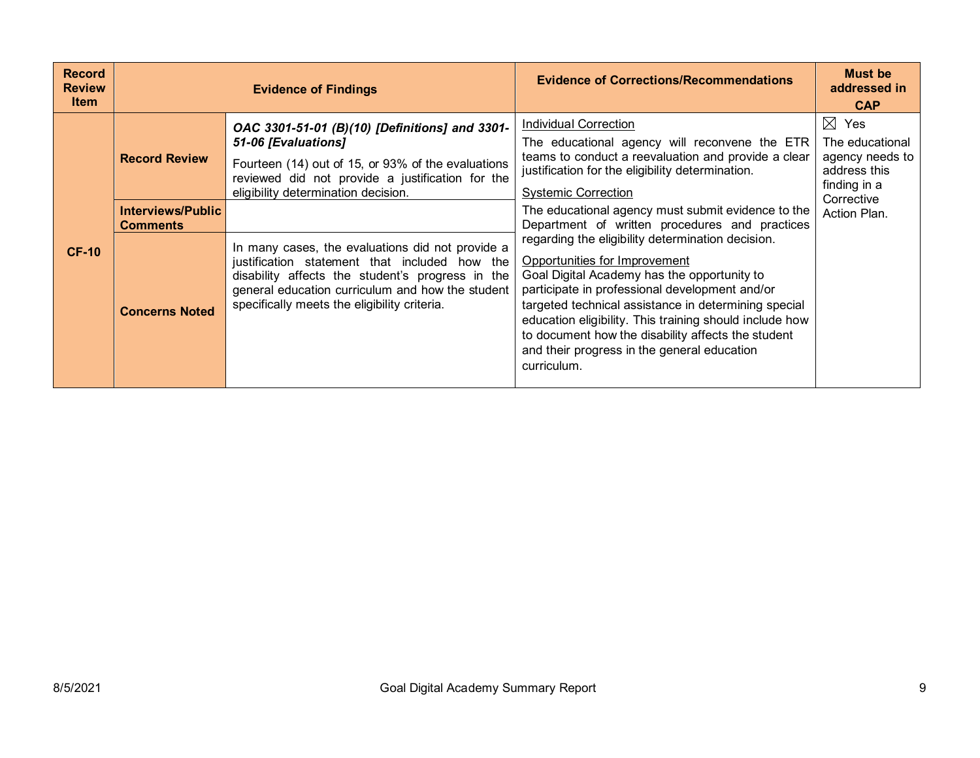| <b>Record</b><br><b>Review</b><br><b>Item</b> |                                      | <b>Evidence of Findings</b>                                                                                                                                                                                                                               | <b>Evidence of Corrections/Recommendations</b>                                                                                                                                                                                                                                                                                                                                                                             | <b>Must be</b><br>addressed in<br><b>CAP</b>                                                        |
|-----------------------------------------------|--------------------------------------|-----------------------------------------------------------------------------------------------------------------------------------------------------------------------------------------------------------------------------------------------------------|----------------------------------------------------------------------------------------------------------------------------------------------------------------------------------------------------------------------------------------------------------------------------------------------------------------------------------------------------------------------------------------------------------------------------|-----------------------------------------------------------------------------------------------------|
|                                               | <b>Record Review</b>                 | OAC 3301-51-01 (B)(10) [Definitions] and 3301-<br>51-06 [Evaluations]<br>Fourteen (14) out of 15, or 93% of the evaluations<br>reviewed did not provide a justification for the<br>eligibility determination decision.                                    | <b>Individual Correction</b><br>The educational agency will reconvene the ETR<br>teams to conduct a reevaluation and provide a clear<br>justification for the eligibility determination.<br><b>Systemic Correction</b>                                                                                                                                                                                                     | $\boxtimes$ Yes<br>The educational<br>agency needs to<br>address this<br>finding in a<br>Corrective |
|                                               | Interviews/Public<br><b>Comments</b> |                                                                                                                                                                                                                                                           | The educational agency must submit evidence to the<br>Department of written procedures and practices                                                                                                                                                                                                                                                                                                                       | Action Plan.                                                                                        |
| <b>CF-10</b>                                  | <b>Concerns Noted</b>                | In many cases, the evaluations did not provide a<br>justification statement that included how the<br>disability affects the student's progress in the<br>general education curriculum and how the student<br>specifically meets the eligibility criteria. | regarding the eligibility determination decision.<br>Opportunities for Improvement<br>Goal Digital Academy has the opportunity to<br>participate in professional development and/or<br>targeted technical assistance in determining special<br>education eligibility. This training should include how<br>to document how the disability affects the student<br>and their progress in the general education<br>curriculum. |                                                                                                     |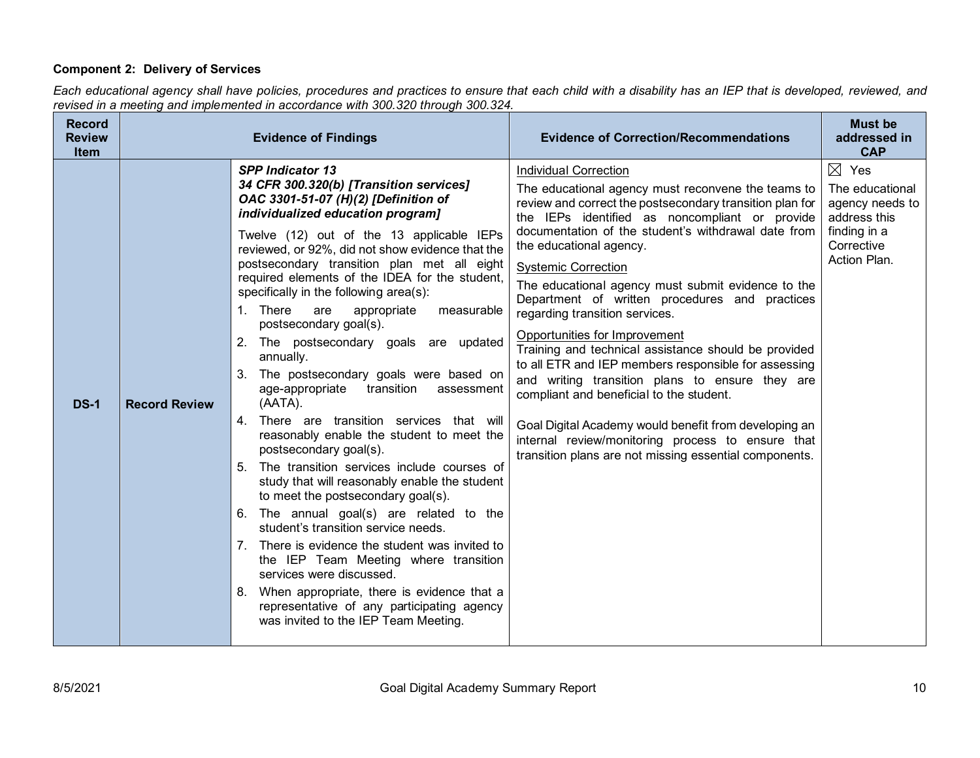# **Component 2: Delivery of Services**

*Each educational agency shall have policies, procedures and practices to ensure that each child with a disability has an IEP that is developed, reviewed, and revised in a meeting and implemented in accordance with 300.320 through 300.324.*

| <b>Record</b><br><b>Review</b><br><b>Item</b> |                      | <b>Evidence of Findings</b>                                                                                                                                                                                                                                                                                                                                                                                                                                                                                                                                                                                                                                                                                                                                                                                                                                                                                                                                                                                                                                                                                                                                                                                                                          | <b>Evidence of Correction/Recommendations</b>                                                                                                                                                                                                                                                                                                                                                                                                                                                                                                                                                                                                                                                                                                                                                                                                                                      | <b>Must be</b><br>addressed in<br><b>CAP</b>                                                                        |
|-----------------------------------------------|----------------------|------------------------------------------------------------------------------------------------------------------------------------------------------------------------------------------------------------------------------------------------------------------------------------------------------------------------------------------------------------------------------------------------------------------------------------------------------------------------------------------------------------------------------------------------------------------------------------------------------------------------------------------------------------------------------------------------------------------------------------------------------------------------------------------------------------------------------------------------------------------------------------------------------------------------------------------------------------------------------------------------------------------------------------------------------------------------------------------------------------------------------------------------------------------------------------------------------------------------------------------------------|------------------------------------------------------------------------------------------------------------------------------------------------------------------------------------------------------------------------------------------------------------------------------------------------------------------------------------------------------------------------------------------------------------------------------------------------------------------------------------------------------------------------------------------------------------------------------------------------------------------------------------------------------------------------------------------------------------------------------------------------------------------------------------------------------------------------------------------------------------------------------------|---------------------------------------------------------------------------------------------------------------------|
| <b>DS-1</b>                                   | <b>Record Review</b> | <b>SPP Indicator 13</b><br>34 CFR 300.320(b) [Transition services]<br>OAC 3301-51-07 (H)(2) [Definition of<br>individualized education program]<br>Twelve (12) out of the 13 applicable IEPs<br>reviewed, or 92%, did not show evidence that the<br>postsecondary transition plan met all eight<br>required elements of the IDEA for the student,<br>specifically in the following area(s):<br>1. There<br>appropriate<br>measurable<br>are<br>postsecondary goal(s).<br>2. The postsecondary goals are updated<br>annually.<br>3. The postsecondary goals were based on<br>age-appropriate transition<br>assessment<br>(AATA).<br>4. There are transition services that will<br>reasonably enable the student to meet the<br>postsecondary goal(s).<br>The transition services include courses of<br>5.<br>study that will reasonably enable the student<br>to meet the postsecondary goal(s).<br>6. The annual goal(s) are related to the<br>student's transition service needs.<br>7. There is evidence the student was invited to<br>the IEP Team Meeting where transition<br>services were discussed.<br>When appropriate, there is evidence that a<br>8.<br>representative of any participating agency<br>was invited to the IEP Team Meeting. | <b>Individual Correction</b><br>The educational agency must reconvene the teams to<br>review and correct the postsecondary transition plan for<br>the IEPs identified as noncompliant or provide<br>documentation of the student's withdrawal date from<br>the educational agency.<br><b>Systemic Correction</b><br>The educational agency must submit evidence to the<br>Department of written procedures and practices<br>regarding transition services.<br>Opportunities for Improvement<br>Training and technical assistance should be provided<br>to all ETR and IEP members responsible for assessing<br>and writing transition plans to ensure they are<br>compliant and beneficial to the student.<br>Goal Digital Academy would benefit from developing an<br>internal review/monitoring process to ensure that<br>transition plans are not missing essential components. | $\boxtimes$ Yes<br>The educational<br>agency needs to<br>address this<br>finding in a<br>Corrective<br>Action Plan. |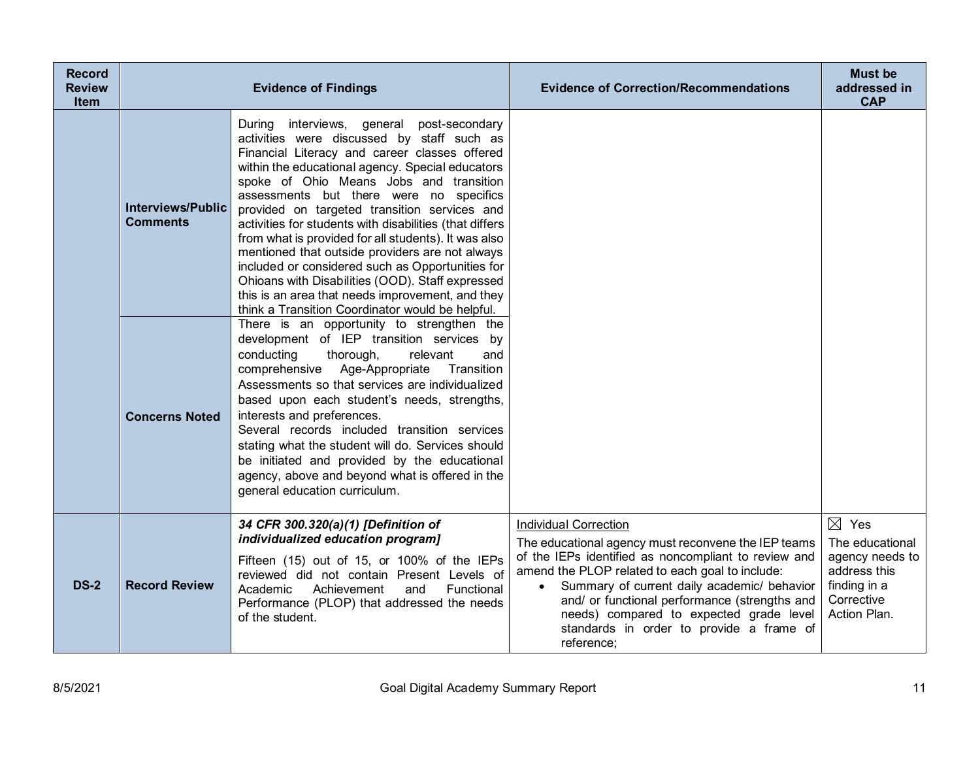| <b>Record</b><br><b>Review</b><br><b>Item</b> |                                             | <b>Evidence of Findings</b>                                                                                                                                                                                                                                                                                                                                                                                                                                                                                                                                                                                                                                                                                                 | <b>Evidence of Correction/Recommendations</b>                                                                                                                                                                                                                                                                                                                                                       | <b>Must be</b><br>addressed in<br><b>CAP</b>                                                                        |
|-----------------------------------------------|---------------------------------------------|-----------------------------------------------------------------------------------------------------------------------------------------------------------------------------------------------------------------------------------------------------------------------------------------------------------------------------------------------------------------------------------------------------------------------------------------------------------------------------------------------------------------------------------------------------------------------------------------------------------------------------------------------------------------------------------------------------------------------------|-----------------------------------------------------------------------------------------------------------------------------------------------------------------------------------------------------------------------------------------------------------------------------------------------------------------------------------------------------------------------------------------------------|---------------------------------------------------------------------------------------------------------------------|
|                                               | <b>Interviews/Public</b><br><b>Comments</b> | interviews, general post-secondary<br>During<br>activities were discussed by staff such as<br>Financial Literacy and career classes offered<br>within the educational agency. Special educators<br>spoke of Ohio Means Jobs and transition<br>assessments but there were no specifics<br>provided on targeted transition services and<br>activities for students with disabilities (that differs<br>from what is provided for all students). It was also<br>mentioned that outside providers are not always<br>included or considered such as Opportunities for<br>Ohioans with Disabilities (OOD). Staff expressed<br>this is an area that needs improvement, and they<br>think a Transition Coordinator would be helpful. |                                                                                                                                                                                                                                                                                                                                                                                                     |                                                                                                                     |
|                                               | <b>Concerns Noted</b>                       | There is an opportunity to strengthen the<br>development of IEP transition services by<br>conducting<br>thorough,<br>relevant<br>and<br>comprehensive Age-Appropriate<br>Transition<br>Assessments so that services are individualized<br>based upon each student's needs, strengths,<br>interests and preferences.<br>Several records included transition services<br>stating what the student will do. Services should<br>be initiated and provided by the educational<br>agency, above and beyond what is offered in the<br>general education curriculum.                                                                                                                                                                |                                                                                                                                                                                                                                                                                                                                                                                                     |                                                                                                                     |
| <b>DS-2</b>                                   | <b>Record Review</b>                        | 34 CFR 300.320(a)(1) [Definition of<br>individualized education program]<br>Fifteen (15) out of 15, or 100% of the IEPs<br>reviewed did not contain Present Levels of<br>Achievement<br>Academic<br>and<br>Functional<br>Performance (PLOP) that addressed the needs<br>of the student.                                                                                                                                                                                                                                                                                                                                                                                                                                     | <b>Individual Correction</b><br>The educational agency must reconvene the IEP teams<br>of the IEPs identified as noncompliant to review and<br>amend the PLOP related to each goal to include:<br>Summary of current daily academic/ behavior<br>and/ or functional performance (strengths and<br>needs) compared to expected grade level<br>standards in order to provide a frame of<br>reference; | $\boxtimes$ Yes<br>The educational<br>agency needs to<br>address this<br>finding in a<br>Corrective<br>Action Plan. |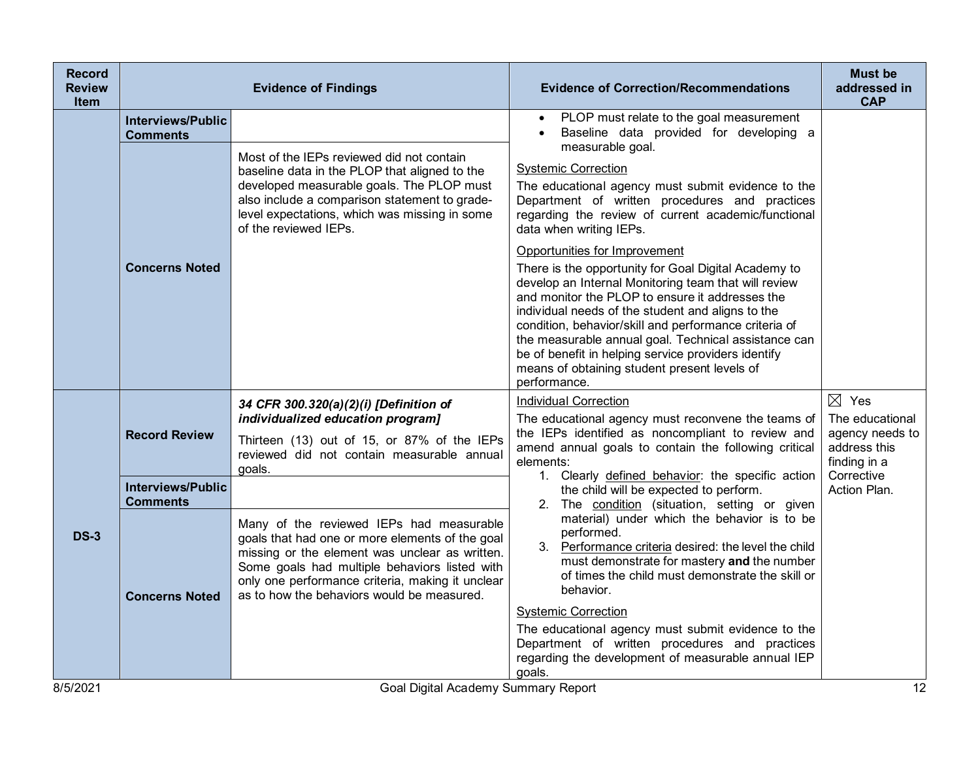| <b>Record</b><br><b>Review</b><br>Item |                                             | <b>Evidence of Findings</b>                                                                                                                                                                                                                                                                      | <b>Evidence of Correction/Recommendations</b>                                                                                                                                                                                                                                                                                                                                                                                                                                                 | <b>Must be</b><br>addressed in<br><b>CAP</b>                                                        |
|----------------------------------------|---------------------------------------------|--------------------------------------------------------------------------------------------------------------------------------------------------------------------------------------------------------------------------------------------------------------------------------------------------|-----------------------------------------------------------------------------------------------------------------------------------------------------------------------------------------------------------------------------------------------------------------------------------------------------------------------------------------------------------------------------------------------------------------------------------------------------------------------------------------------|-----------------------------------------------------------------------------------------------------|
|                                        | <b>Interviews/Public</b><br><b>Comments</b> |                                                                                                                                                                                                                                                                                                  | PLOP must relate to the goal measurement<br>Baseline data provided for developing a<br>measurable goal.                                                                                                                                                                                                                                                                                                                                                                                       |                                                                                                     |
|                                        |                                             | Most of the IEPs reviewed did not contain<br>baseline data in the PLOP that aligned to the<br>developed measurable goals. The PLOP must<br>also include a comparison statement to grade-<br>level expectations, which was missing in some<br>of the reviewed IEPs.                               | <b>Systemic Correction</b><br>The educational agency must submit evidence to the<br>Department of written procedures and practices<br>regarding the review of current academic/functional<br>data when writing IEPs.                                                                                                                                                                                                                                                                          |                                                                                                     |
|                                        | <b>Concerns Noted</b>                       |                                                                                                                                                                                                                                                                                                  | Opportunities for Improvement<br>There is the opportunity for Goal Digital Academy to<br>develop an Internal Monitoring team that will review<br>and monitor the PLOP to ensure it addresses the<br>individual needs of the student and aligns to the<br>condition, behavior/skill and performance criteria of<br>the measurable annual goal. Technical assistance can<br>be of benefit in helping service providers identify<br>means of obtaining student present levels of<br>performance. |                                                                                                     |
|                                        | <b>Record Review</b>                        | 34 CFR 300.320(a)(2)(i) [Definition of<br>individualized education program]<br>Thirteen (13) out of 15, or 87% of the IEPs<br>reviewed did not contain measurable annual<br>goals.                                                                                                               | <b>Individual Correction</b><br>The educational agency must reconvene the teams of<br>the IEPs identified as noncompliant to review and<br>amend annual goals to contain the following critical<br>elements:                                                                                                                                                                                                                                                                                  | $\boxtimes$ Yes<br>The educational<br>agency needs to<br>address this<br>finding in a<br>Corrective |
|                                        | <b>Interviews/Public</b><br><b>Comments</b> |                                                                                                                                                                                                                                                                                                  | 1. Clearly defined behavior: the specific action<br>the child will be expected to perform.<br>2. The condition (situation, setting or given                                                                                                                                                                                                                                                                                                                                                   | Action Plan.                                                                                        |
| <b>DS-3</b>                            | <b>Concerns Noted</b>                       | Many of the reviewed IEPs had measurable<br>goals that had one or more elements of the goal<br>missing or the element was unclear as written.<br>Some goals had multiple behaviors listed with<br>only one performance criteria, making it unclear<br>as to how the behaviors would be measured. | material) under which the behavior is to be<br>performed.<br>3. Performance criteria desired: the level the child<br>must demonstrate for mastery and the number<br>of times the child must demonstrate the skill or<br>behavior.                                                                                                                                                                                                                                                             |                                                                                                     |
|                                        |                                             |                                                                                                                                                                                                                                                                                                  | <b>Systemic Correction</b><br>The educational agency must submit evidence to the<br>Department of written procedures and practices<br>regarding the development of measurable annual IEP<br>goals.                                                                                                                                                                                                                                                                                            |                                                                                                     |
| 8/5/2021                               |                                             | Goal Digital Academy Summary Report                                                                                                                                                                                                                                                              |                                                                                                                                                                                                                                                                                                                                                                                                                                                                                               | 12                                                                                                  |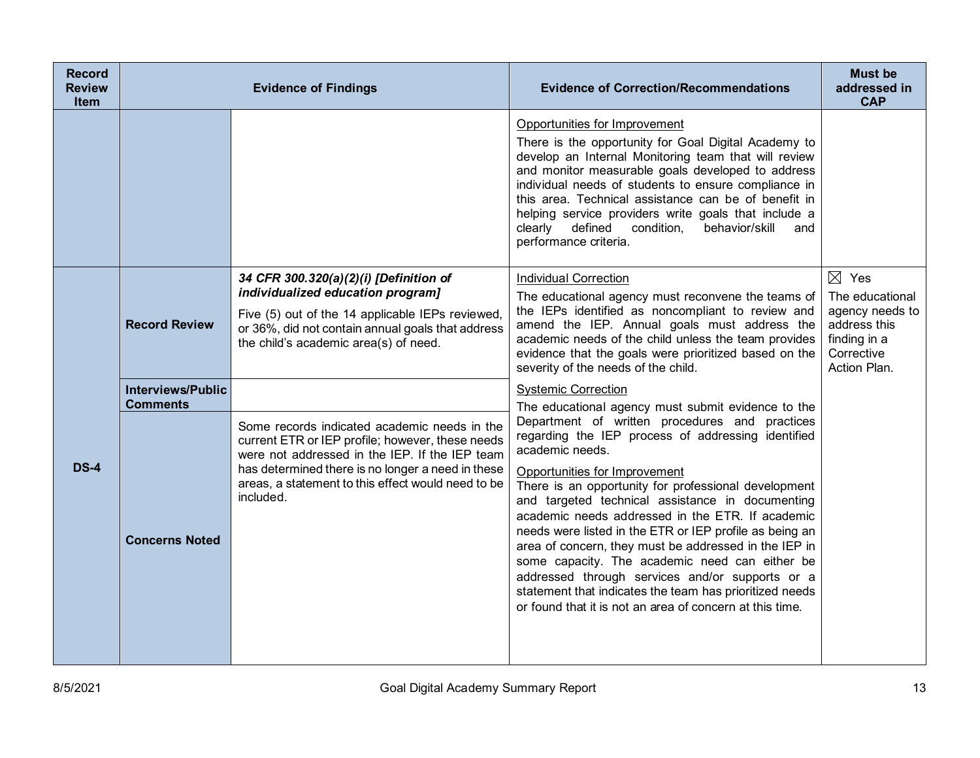| <b>Record</b><br><b>Review</b><br><b>Item</b> |                                                                      | <b>Evidence of Findings</b>                                                                                                                                                                                                                                                | <b>Evidence of Correction/Recommendations</b>                                                                                                                                                                                                                                                                                                                                                                                                                                                                                                                                                                                                                                                                                                                | <b>Must be</b><br>addressed in<br><b>CAP</b>                                                                        |
|-----------------------------------------------|----------------------------------------------------------------------|----------------------------------------------------------------------------------------------------------------------------------------------------------------------------------------------------------------------------------------------------------------------------|--------------------------------------------------------------------------------------------------------------------------------------------------------------------------------------------------------------------------------------------------------------------------------------------------------------------------------------------------------------------------------------------------------------------------------------------------------------------------------------------------------------------------------------------------------------------------------------------------------------------------------------------------------------------------------------------------------------------------------------------------------------|---------------------------------------------------------------------------------------------------------------------|
|                                               |                                                                      |                                                                                                                                                                                                                                                                            | Opportunities for Improvement<br>There is the opportunity for Goal Digital Academy to<br>develop an Internal Monitoring team that will review<br>and monitor measurable goals developed to address<br>individual needs of students to ensure compliance in<br>this area. Technical assistance can be of benefit in<br>helping service providers write goals that include a<br>condition,<br>defined<br>behavior/skill<br>clearly<br>and<br>performance criteria.                                                                                                                                                                                                                                                                                             |                                                                                                                     |
|                                               | <b>Record Review</b>                                                 | 34 CFR 300.320(a)(2)(i) [Definition of<br>individualized education program]<br>Five (5) out of the 14 applicable IEPs reviewed,<br>or 36%, did not contain annual goals that address<br>the child's academic area(s) of need.                                              | <b>Individual Correction</b><br>The educational agency must reconvene the teams of<br>the IEPs identified as noncompliant to review and<br>amend the IEP. Annual goals must address the<br>academic needs of the child unless the team provides<br>evidence that the goals were prioritized based on the<br>severity of the needs of the child.                                                                                                                                                                                                                                                                                                                                                                                                              | $\boxtimes$ Yes<br>The educational<br>agency needs to<br>address this<br>finding in a<br>Corrective<br>Action Plan. |
| <b>DS-4</b>                                   | <b>Interviews/Public</b><br><b>Comments</b><br><b>Concerns Noted</b> | Some records indicated academic needs in the<br>current ETR or IEP profile; however, these needs<br>were not addressed in the IEP. If the IEP team<br>has determined there is no longer a need in these<br>areas, a statement to this effect would need to be<br>included. | <b>Systemic Correction</b><br>The educational agency must submit evidence to the<br>Department of written procedures and practices<br>regarding the IEP process of addressing identified<br>academic needs.<br>Opportunities for Improvement<br>There is an opportunity for professional development<br>and targeted technical assistance in documenting<br>academic needs addressed in the ETR. If academic<br>needs were listed in the ETR or IEP profile as being an<br>area of concern, they must be addressed in the IEP in<br>some capacity. The academic need can either be<br>addressed through services and/or supports or a<br>statement that indicates the team has prioritized needs<br>or found that it is not an area of concern at this time. |                                                                                                                     |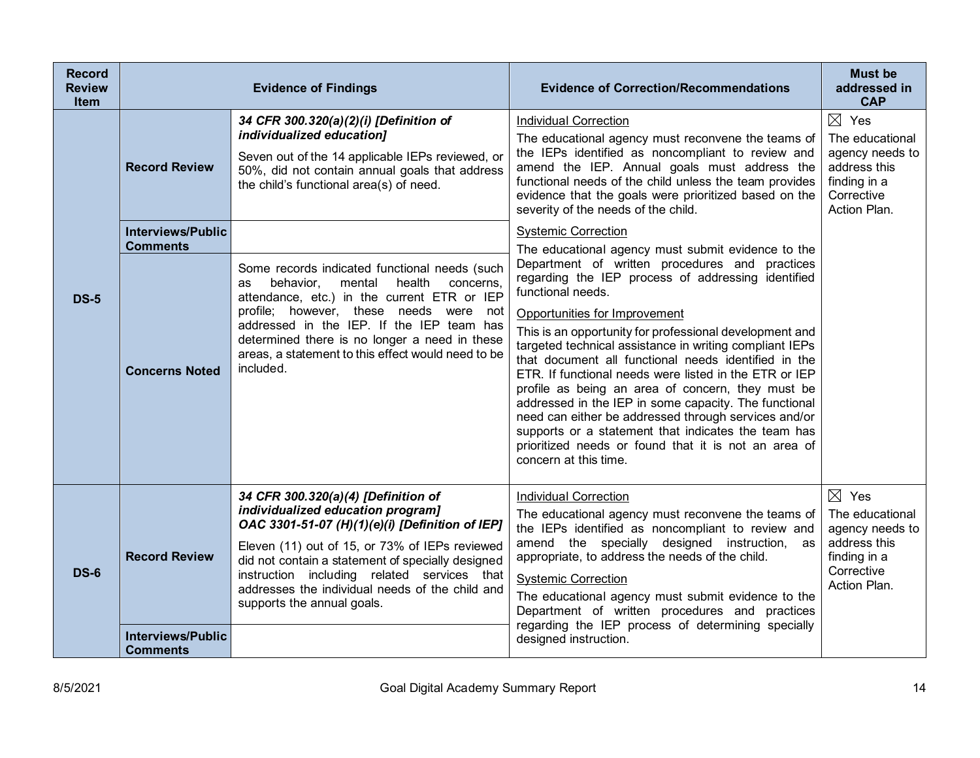| <b>Record</b><br><b>Review</b><br><b>Item</b> |                                                                                              | <b>Evidence of Findings</b>                                                                                                                                                                                                                                                                                                                                                                                                                                                                                                                                                         | <b>Evidence of Correction/Recommendations</b>                                                                                                                                                                                                                                                                                                                                                                                                                                                                                                                                                                                                                                                                                                                                                                                                                                                                                                                                                                                                                                                                                                             | <b>Must be</b><br>addressed in<br><b>CAP</b>                                                                        |
|-----------------------------------------------|----------------------------------------------------------------------------------------------|-------------------------------------------------------------------------------------------------------------------------------------------------------------------------------------------------------------------------------------------------------------------------------------------------------------------------------------------------------------------------------------------------------------------------------------------------------------------------------------------------------------------------------------------------------------------------------------|-----------------------------------------------------------------------------------------------------------------------------------------------------------------------------------------------------------------------------------------------------------------------------------------------------------------------------------------------------------------------------------------------------------------------------------------------------------------------------------------------------------------------------------------------------------------------------------------------------------------------------------------------------------------------------------------------------------------------------------------------------------------------------------------------------------------------------------------------------------------------------------------------------------------------------------------------------------------------------------------------------------------------------------------------------------------------------------------------------------------------------------------------------------|---------------------------------------------------------------------------------------------------------------------|
| <b>DS-5</b>                                   | <b>Record Review</b><br><b>Interviews/Public</b><br><b>Comments</b><br><b>Concerns Noted</b> | 34 CFR 300.320(a)(2)(i) [Definition of<br>individualized education]<br>Seven out of the 14 applicable IEPs reviewed, or<br>50%, did not contain annual goals that address<br>the child's functional area(s) of need.<br>Some records indicated functional needs (such<br>health<br>mental<br>behavior,<br>concerns,<br>as<br>attendance, etc.) in the current ETR or IEP<br>profile; however, these needs were not<br>addressed in the IEP. If the IEP team has<br>determined there is no longer a need in these<br>areas, a statement to this effect would need to be<br>included. | <b>Individual Correction</b><br>The educational agency must reconvene the teams of<br>the IEPs identified as noncompliant to review and<br>amend the IEP. Annual goals must address the<br>functional needs of the child unless the team provides<br>evidence that the goals were prioritized based on the<br>severity of the needs of the child.<br><b>Systemic Correction</b><br>The educational agency must submit evidence to the<br>Department of written procedures and practices<br>regarding the IEP process of addressing identified<br>functional needs.<br>Opportunities for Improvement<br>This is an opportunity for professional development and<br>targeted technical assistance in writing compliant IEPs<br>that document all functional needs identified in the<br>ETR. If functional needs were listed in the ETR or IEP<br>profile as being an area of concern, they must be<br>addressed in the IEP in some capacity. The functional<br>need can either be addressed through services and/or<br>supports or a statement that indicates the team has<br>prioritized needs or found that it is not an area of<br>concern at this time. | $\boxtimes$ Yes<br>The educational<br>agency needs to<br>address this<br>finding in a<br>Corrective<br>Action Plan. |
| <b>DS-6</b>                                   | <b>Record Review</b>                                                                         | 34 CFR 300.320(a)(4) [Definition of<br>individualized education program]<br>OAC 3301-51-07 (H)(1)(e)(i) [Definition of IEP]<br>Eleven (11) out of 15, or 73% of IEPs reviewed<br>did not contain a statement of specially designed<br>instruction including related services that<br>addresses the individual needs of the child and<br>supports the annual goals.                                                                                                                                                                                                                  | <b>Individual Correction</b><br>The educational agency must reconvene the teams of<br>the IEPs identified as noncompliant to review and<br>amend the specially designed instruction,<br>as<br>appropriate, to address the needs of the child.<br><b>Systemic Correction</b><br>The educational agency must submit evidence to the<br>Department of written procedures and practices                                                                                                                                                                                                                                                                                                                                                                                                                                                                                                                                                                                                                                                                                                                                                                       | $\boxtimes$ Yes<br>The educational<br>agency needs to<br>address this<br>finding in a<br>Corrective<br>Action Plan. |
|                                               | <b>Interviews/Public</b><br><b>Comments</b>                                                  |                                                                                                                                                                                                                                                                                                                                                                                                                                                                                                                                                                                     | regarding the IEP process of determining specially<br>designed instruction.                                                                                                                                                                                                                                                                                                                                                                                                                                                                                                                                                                                                                                                                                                                                                                                                                                                                                                                                                                                                                                                                               |                                                                                                                     |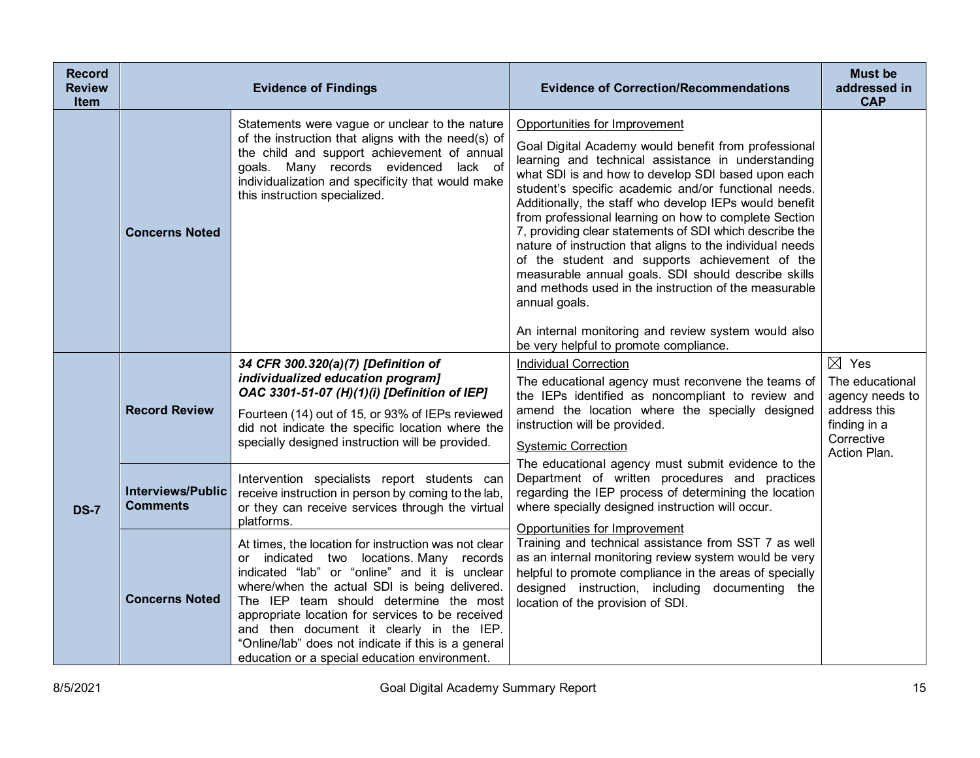| <b>Record</b><br><b>Review</b><br><b>Item</b> |                                             | <b>Evidence of Findings</b>                                                                                                                                                                                                                                                                                                                                                                                                                          | <b>Evidence of Correction/Recommendations</b>                                                                                                                                                                                                                                                                                                                                                                                                                                                                                                                                                                                                                                           | <b>Must be</b><br>addressed in<br><b>CAP</b>                                                                        |
|-----------------------------------------------|---------------------------------------------|------------------------------------------------------------------------------------------------------------------------------------------------------------------------------------------------------------------------------------------------------------------------------------------------------------------------------------------------------------------------------------------------------------------------------------------------------|-----------------------------------------------------------------------------------------------------------------------------------------------------------------------------------------------------------------------------------------------------------------------------------------------------------------------------------------------------------------------------------------------------------------------------------------------------------------------------------------------------------------------------------------------------------------------------------------------------------------------------------------------------------------------------------------|---------------------------------------------------------------------------------------------------------------------|
|                                               | <b>Concerns Noted</b>                       | Statements were vague or unclear to the nature<br>of the instruction that aligns with the need(s) of<br>the child and support achievement of annual<br>goals. Many records evidenced lack of<br>individualization and specificity that would make<br>this instruction specialized.                                                                                                                                                                   | Opportunities for Improvement<br>Goal Digital Academy would benefit from professional<br>learning and technical assistance in understanding<br>what SDI is and how to develop SDI based upon each<br>student's specific academic and/or functional needs.<br>Additionally, the staff who develop IEPs would benefit<br>from professional learning on how to complete Section<br>7, providing clear statements of SDI which describe the<br>nature of instruction that aligns to the individual needs<br>of the student and supports achievement of the<br>measurable annual goals. SDI should describe skills<br>and methods used in the instruction of the measurable<br>annual goals. |                                                                                                                     |
|                                               |                                             |                                                                                                                                                                                                                                                                                                                                                                                                                                                      | An internal monitoring and review system would also<br>be very helpful to promote compliance.                                                                                                                                                                                                                                                                                                                                                                                                                                                                                                                                                                                           |                                                                                                                     |
|                                               | <b>Record Review</b>                        | 34 CFR 300.320(a)(7) [Definition of<br>individualized education program]<br>OAC 3301-51-07 (H)(1)(i) [Definition of IEP]<br>Fourteen (14) out of 15, or 93% of IEPs reviewed<br>did not indicate the specific location where the<br>specially designed instruction will be provided.                                                                                                                                                                 | <b>Individual Correction</b><br>The educational agency must reconvene the teams of<br>the IEPs identified as noncompliant to review and<br>amend the location where the specially designed<br>instruction will be provided.<br><b>Systemic Correction</b>                                                                                                                                                                                                                                                                                                                                                                                                                               | $\boxtimes$ Yes<br>The educational<br>agency needs to<br>address this<br>finding in a<br>Corrective<br>Action Plan. |
| <b>DS-7</b>                                   | <b>Interviews/Public</b><br><b>Comments</b> | Intervention specialists report students can<br>receive instruction in person by coming to the lab,<br>or they can receive services through the virtual<br>platforms.                                                                                                                                                                                                                                                                                | The educational agency must submit evidence to the<br>Department of written procedures and practices<br>regarding the IEP process of determining the location<br>where specially designed instruction will occur.                                                                                                                                                                                                                                                                                                                                                                                                                                                                       |                                                                                                                     |
|                                               | <b>Concerns Noted</b>                       | At times, the location for instruction was not clear<br>or indicated two locations. Many records<br>indicated "lab" or "online" and it is unclear<br>where/when the actual SDI is being delivered.<br>The IEP team should determine the most<br>appropriate location for services to be received<br>and then document it clearly in the IEP.<br>"Online/lab" does not indicate if this is a general<br>education or a special education environment. | Opportunities for Improvement<br>Training and technical assistance from SST 7 as well<br>as an internal monitoring review system would be very<br>helpful to promote compliance in the areas of specially<br>designed instruction, including documenting the<br>location of the provision of SDI.                                                                                                                                                                                                                                                                                                                                                                                       |                                                                                                                     |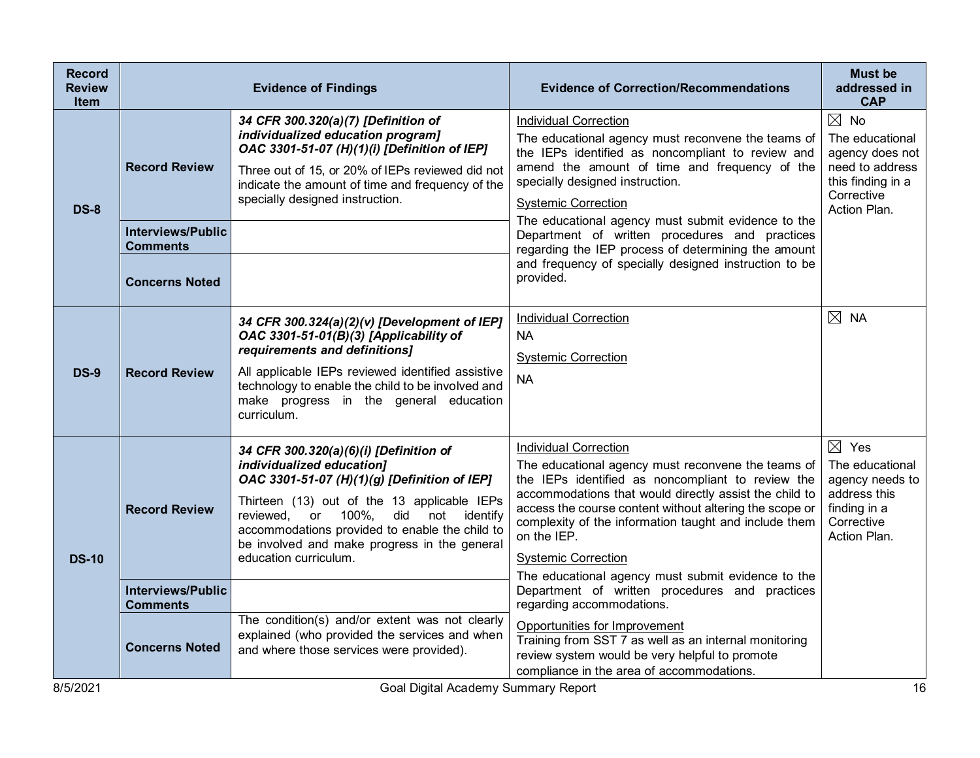| <b>Record</b><br><b>Review</b><br>Item | <b>Evidence of Findings</b>                 |                                                                                                                                                                                                                                                                                                                                      | <b>Evidence of Correction/Recommendations</b>                                                                                                                                                                                                                                                                                                                                                                            | <b>Must be</b><br>addressed in<br><b>CAP</b>                                                                               |
|----------------------------------------|---------------------------------------------|--------------------------------------------------------------------------------------------------------------------------------------------------------------------------------------------------------------------------------------------------------------------------------------------------------------------------------------|--------------------------------------------------------------------------------------------------------------------------------------------------------------------------------------------------------------------------------------------------------------------------------------------------------------------------------------------------------------------------------------------------------------------------|----------------------------------------------------------------------------------------------------------------------------|
| <b>DS-8</b>                            | <b>Record Review</b>                        | 34 CFR 300.320(a)(7) [Definition of<br>individualized education program]<br>OAC 3301-51-07 (H)(1)(i) [Definition of IEP]<br>Three out of 15, or 20% of IEPs reviewed did not<br>indicate the amount of time and frequency of the<br>specially designed instruction.                                                                  | <b>Individual Correction</b><br>The educational agency must reconvene the teams of<br>the IEPs identified as noncompliant to review and<br>amend the amount of time and frequency of the<br>specially designed instruction.<br><b>Systemic Correction</b><br>The educational agency must submit evidence to the                                                                                                          | $\boxtimes$ No<br>The educational<br>agency does not<br>need to address<br>this finding in a<br>Corrective<br>Action Plan. |
|                                        | <b>Interviews/Public</b><br><b>Comments</b> |                                                                                                                                                                                                                                                                                                                                      | Department of written procedures and practices<br>regarding the IEP process of determining the amount                                                                                                                                                                                                                                                                                                                    |                                                                                                                            |
|                                        | <b>Concerns Noted</b>                       |                                                                                                                                                                                                                                                                                                                                      | and frequency of specially designed instruction to be<br>provided.                                                                                                                                                                                                                                                                                                                                                       |                                                                                                                            |
| <b>DS-9</b>                            | <b>Record Review</b>                        | 34 CFR 300.324(a)(2)(v) [Development of IEP]<br>OAC 3301-51-01(B)(3) [Applicability of<br>requirements and definitions]<br>All applicable IEPs reviewed identified assistive<br>technology to enable the child to be involved and<br>make progress in the general education<br>curriculum.                                           | <b>Individual Correction</b><br><b>NA</b><br><b>Systemic Correction</b><br><b>NA</b>                                                                                                                                                                                                                                                                                                                                     | $\boxtimes$ NA                                                                                                             |
| <b>DS-10</b>                           | <b>Record Review</b>                        | 34 CFR 300.320(a)(6)(i) [Definition of<br>individualized education]<br>OAC 3301-51-07 (H)(1)(g) [Definition of IEP]<br>Thirteen (13) out of the 13 applicable IEPs<br>reviewed, or 100%, did not identify<br>accommodations provided to enable the child to<br>be involved and make progress in the general<br>education curriculum. | <b>Individual Correction</b><br>The educational agency must reconvene the teams of<br>the IEPs identified as noncompliant to review the<br>accommodations that would directly assist the child to<br>access the course content without altering the scope or<br>complexity of the information taught and include them<br>on the IEP.<br><b>Systemic Correction</b><br>The educational agency must submit evidence to the | $\boxtimes$ Yes<br>The educational<br>agency needs to<br>address this<br>finding in a<br>Corrective<br>Action Plan.        |
|                                        | <b>Interviews/Public</b><br><b>Comments</b> |                                                                                                                                                                                                                                                                                                                                      | Department of written procedures and practices<br>regarding accommodations.                                                                                                                                                                                                                                                                                                                                              |                                                                                                                            |
|                                        | <b>Concerns Noted</b>                       | The condition(s) and/or extent was not clearly<br>explained (who provided the services and when<br>and where those services were provided).                                                                                                                                                                                          | Opportunities for Improvement<br>Training from SST 7 as well as an internal monitoring<br>review system would be very helpful to promote<br>compliance in the area of accommodations.                                                                                                                                                                                                                                    |                                                                                                                            |
| 8/5/2021                               |                                             | Goal Digital Academy Summary Report                                                                                                                                                                                                                                                                                                  |                                                                                                                                                                                                                                                                                                                                                                                                                          | 16                                                                                                                         |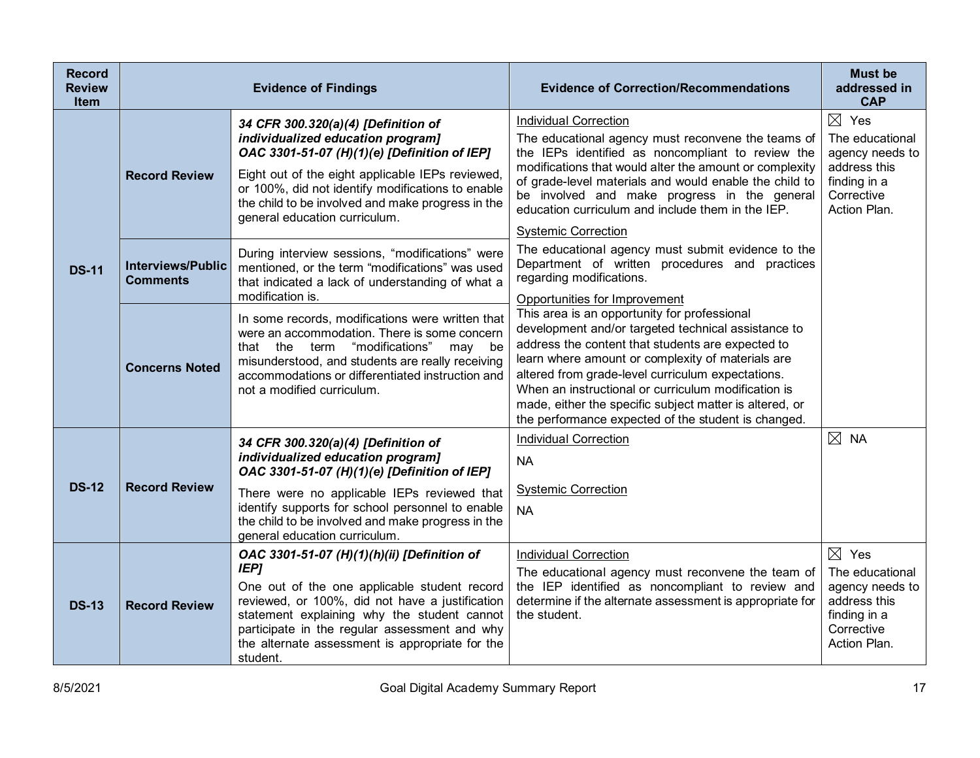| <b>Record</b><br><b>Review</b><br><b>Item</b> | <b>Evidence of Findings</b>                 |                                                                                                                                                                                                                                                                                                                              | <b>Evidence of Correction/Recommendations</b>                                                                                                                                                                                                                                                                                                                                                                                               | <b>Must be</b><br>addressed in<br><b>CAP</b>                                                                        |
|-----------------------------------------------|---------------------------------------------|------------------------------------------------------------------------------------------------------------------------------------------------------------------------------------------------------------------------------------------------------------------------------------------------------------------------------|---------------------------------------------------------------------------------------------------------------------------------------------------------------------------------------------------------------------------------------------------------------------------------------------------------------------------------------------------------------------------------------------------------------------------------------------|---------------------------------------------------------------------------------------------------------------------|
| <b>DS-11</b>                                  | <b>Record Review</b>                        | 34 CFR 300.320(a)(4) [Definition of<br>individualized education program]<br>OAC 3301-51-07 (H)(1)(e) [Definition of IEP]<br>Eight out of the eight applicable IEPs reviewed,<br>or 100%, did not identify modifications to enable<br>the child to be involved and make progress in the<br>general education curriculum.      | <b>Individual Correction</b><br>The educational agency must reconvene the teams of<br>the IEPs identified as noncompliant to review the<br>modifications that would alter the amount or complexity<br>of grade-level materials and would enable the child to<br>be involved and make progress in the general<br>education curriculum and include them in the IEP.<br><b>Systemic Correction</b>                                             | $\boxtimes$ Yes<br>The educational<br>agency needs to<br>address this<br>finding in a<br>Corrective<br>Action Plan. |
|                                               | <b>Interviews/Public</b><br><b>Comments</b> | During interview sessions, "modifications" were<br>mentioned, or the term "modifications" was used<br>that indicated a lack of understanding of what a<br>modification is.                                                                                                                                                   | The educational agency must submit evidence to the<br>Department of written procedures and practices<br>regarding modifications.<br>Opportunities for Improvement                                                                                                                                                                                                                                                                           |                                                                                                                     |
|                                               | <b>Concerns Noted</b>                       | In some records, modifications were written that<br>were an accommodation. There is some concern<br>"modifications"<br>that the term<br>may be<br>misunderstood, and students are really receiving<br>accommodations or differentiated instruction and<br>not a modified curriculum.                                         | This area is an opportunity for professional<br>development and/or targeted technical assistance to<br>address the content that students are expected to<br>learn where amount or complexity of materials are<br>altered from grade-level curriculum expectations.<br>When an instructional or curriculum modification is<br>made, either the specific subject matter is altered, or<br>the performance expected of the student is changed. |                                                                                                                     |
| <b>DS-12</b>                                  | <b>Record Review</b>                        | 34 CFR 300.320(a)(4) [Definition of<br>individualized education program]<br>OAC 3301-51-07 (H)(1)(e) [Definition of IEP]<br>There were no applicable IEPs reviewed that                                                                                                                                                      | <b>Individual Correction</b><br><b>NA</b><br><b>Systemic Correction</b>                                                                                                                                                                                                                                                                                                                                                                     | $\boxtimes$ NA                                                                                                      |
|                                               |                                             | identify supports for school personnel to enable<br>the child to be involved and make progress in the<br>general education curriculum.                                                                                                                                                                                       | <b>NA</b>                                                                                                                                                                                                                                                                                                                                                                                                                                   |                                                                                                                     |
| <b>DS-13</b>                                  | <b>Record Review</b>                        | OAC 3301-51-07 (H)(1)(h)(ii) [Definition of<br><b>IEP]</b><br>One out of the one applicable student record<br>reviewed, or 100%, did not have a justification<br>statement explaining why the student cannot<br>participate in the regular assessment and why<br>the alternate assessment is appropriate for the<br>student. | <b>Individual Correction</b><br>The educational agency must reconvene the team of<br>the IEP identified as noncompliant to review and<br>determine if the alternate assessment is appropriate for<br>the student.                                                                                                                                                                                                                           | $\boxtimes$ Yes<br>The educational<br>agency needs to<br>address this<br>finding in a<br>Corrective<br>Action Plan. |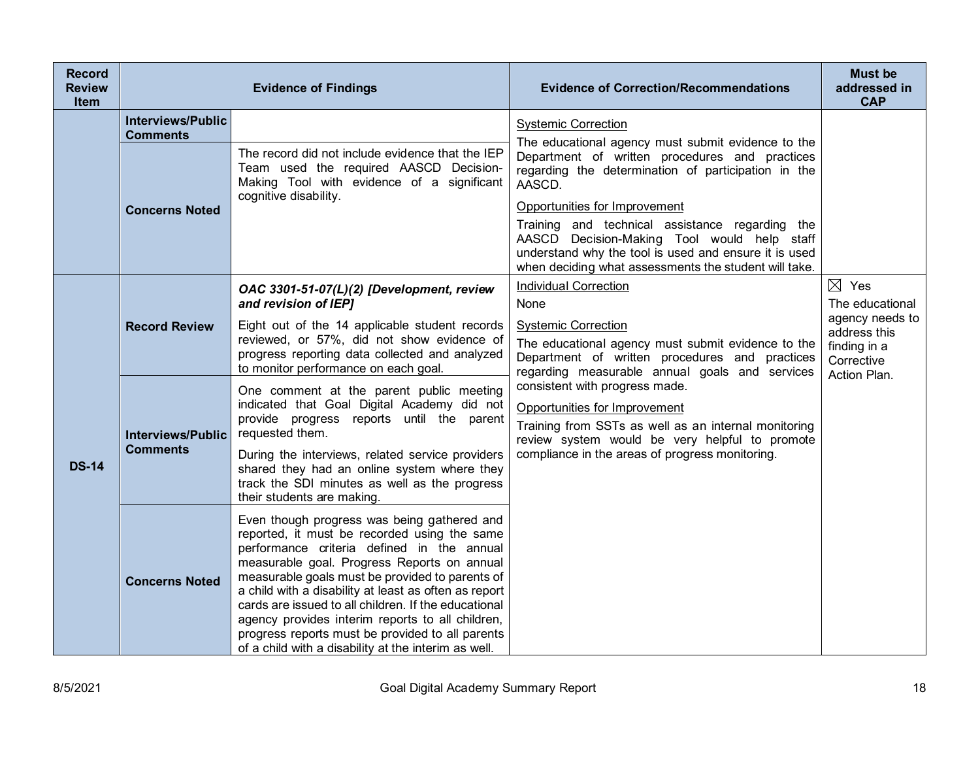| <b>Record</b><br><b>Review</b><br>Item |                                                                      | <b>Evidence of Findings</b>                                                                                                                                                                                                                                                                                                                                                                                                                                                                                                  | <b>Evidence of Correction/Recommendations</b>                                                                                                                                                                                                                                                                                                                                                   | <b>Must be</b><br>addressed in<br><b>CAP</b>                                                        |
|----------------------------------------|----------------------------------------------------------------------|------------------------------------------------------------------------------------------------------------------------------------------------------------------------------------------------------------------------------------------------------------------------------------------------------------------------------------------------------------------------------------------------------------------------------------------------------------------------------------------------------------------------------|-------------------------------------------------------------------------------------------------------------------------------------------------------------------------------------------------------------------------------------------------------------------------------------------------------------------------------------------------------------------------------------------------|-----------------------------------------------------------------------------------------------------|
|                                        | <b>Interviews/Public</b><br><b>Comments</b><br><b>Concerns Noted</b> | The record did not include evidence that the IEP<br>Team used the required AASCD Decision-<br>Making Tool with evidence of a significant<br>cognitive disability.                                                                                                                                                                                                                                                                                                                                                            | <b>Systemic Correction</b><br>The educational agency must submit evidence to the<br>Department of written procedures and practices<br>regarding the determination of participation in the<br>AASCD.<br>Opportunities for Improvement<br>Training and technical assistance regarding the<br>AASCD Decision-Making Tool would help staff<br>understand why the tool is used and ensure it is used |                                                                                                     |
| <b>DS-14</b>                           | <b>Record Review</b>                                                 | OAC 3301-51-07(L)(2) [Development, review<br>and revision of IEP]<br>Eight out of the 14 applicable student records<br>reviewed, or 57%, did not show evidence of<br>progress reporting data collected and analyzed<br>to monitor performance on each goal.                                                                                                                                                                                                                                                                  | when deciding what assessments the student will take.<br><b>Individual Correction</b><br>None<br><b>Systemic Correction</b><br>The educational agency must submit evidence to the<br>Department of written procedures and practices<br>regarding measurable annual goals and services                                                                                                           | $\boxtimes$ Yes<br>The educational<br>agency needs to<br>address this<br>finding in a<br>Corrective |
|                                        | <b>Interviews/Public</b><br><b>Comments</b>                          | One comment at the parent public meeting<br>indicated that Goal Digital Academy did not<br>provide progress reports until the parent<br>requested them.<br>During the interviews, related service providers<br>shared they had an online system where they<br>track the SDI minutes as well as the progress<br>their students are making.                                                                                                                                                                                    | consistent with progress made.<br>Opportunities for Improvement<br>Training from SSTs as well as an internal monitoring<br>review system would be very helpful to promote<br>compliance in the areas of progress monitoring.                                                                                                                                                                    | Action Plan.                                                                                        |
|                                        | <b>Concerns Noted</b>                                                | Even though progress was being gathered and<br>reported, it must be recorded using the same<br>performance criteria defined in the annual<br>measurable goal. Progress Reports on annual<br>measurable goals must be provided to parents of<br>a child with a disability at least as often as report<br>cards are issued to all children. If the educational<br>agency provides interim reports to all children,<br>progress reports must be provided to all parents<br>of a child with a disability at the interim as well. |                                                                                                                                                                                                                                                                                                                                                                                                 |                                                                                                     |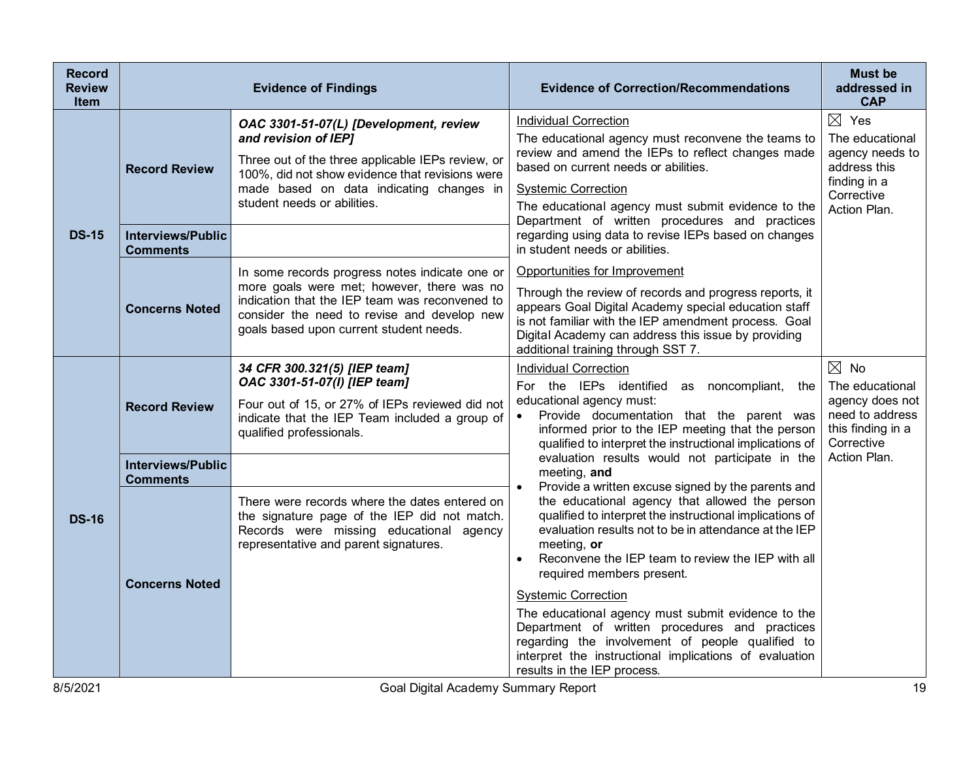| <b>Record</b><br><b>Review</b><br>Item | <b>Evidence of Findings</b>                 |                                                                                                                                                                                                                                                   | <b>Evidence of Correction/Recommendations</b>                                                                                                                                                                                                                                                                                                                                                                                                                                                                                                                                                                              | <b>Must be</b><br>addressed in<br><b>CAP</b>                                                                        |
|----------------------------------------|---------------------------------------------|---------------------------------------------------------------------------------------------------------------------------------------------------------------------------------------------------------------------------------------------------|----------------------------------------------------------------------------------------------------------------------------------------------------------------------------------------------------------------------------------------------------------------------------------------------------------------------------------------------------------------------------------------------------------------------------------------------------------------------------------------------------------------------------------------------------------------------------------------------------------------------------|---------------------------------------------------------------------------------------------------------------------|
|                                        | <b>Record Review</b>                        | OAC 3301-51-07(L) [Development, review<br>and revision of IEP]<br>Three out of the three applicable IEPs review, or<br>100%, did not show evidence that revisions were<br>made based on data indicating changes in<br>student needs or abilities. | <b>Individual Correction</b><br>The educational agency must reconvene the teams to<br>review and amend the IEPs to reflect changes made<br>based on current needs or abilities.<br><b>Systemic Correction</b><br>The educational agency must submit evidence to the<br>Department of written procedures and practices                                                                                                                                                                                                                                                                                                      | $\boxtimes$ Yes<br>The educational<br>agency needs to<br>address this<br>finding in a<br>Corrective<br>Action Plan. |
| <b>DS-15</b>                           | <b>Interviews/Public</b><br><b>Comments</b> |                                                                                                                                                                                                                                                   | regarding using data to revise IEPs based on changes<br>in student needs or abilities.                                                                                                                                                                                                                                                                                                                                                                                                                                                                                                                                     |                                                                                                                     |
|                                        | <b>Concerns Noted</b>                       | In some records progress notes indicate one or<br>more goals were met; however, there was no<br>indication that the IEP team was reconvened to<br>consider the need to revise and develop new<br>goals based upon current student needs.          | Opportunities for Improvement<br>Through the review of records and progress reports, it<br>appears Goal Digital Academy special education staff<br>is not familiar with the IEP amendment process. Goal<br>Digital Academy can address this issue by providing<br>additional training through SST 7.                                                                                                                                                                                                                                                                                                                       |                                                                                                                     |
|                                        | <b>Record Review</b>                        | 34 CFR 300.321(5) [IEP team]<br>OAC 3301-51-07(I) [IEP team]<br>Four out of 15, or 27% of IEPs reviewed did not<br>indicate that the IEP Team included a group of<br>qualified professionals.                                                     | <b>Individual Correction</b><br>For the IEPs identified as noncompliant, the<br>educational agency must:<br>Provide documentation that the parent was<br>$\bullet$<br>informed prior to the IEP meeting that the person<br>qualified to interpret the instructional implications of                                                                                                                                                                                                                                                                                                                                        | $\boxtimes$ No<br>The educational<br>agency does not<br>need to address<br>this finding in a<br>Corrective          |
|                                        | <b>Interviews/Public</b><br><b>Comments</b> |                                                                                                                                                                                                                                                   | evaluation results would not participate in the<br>meeting, and                                                                                                                                                                                                                                                                                                                                                                                                                                                                                                                                                            | Action Plan.                                                                                                        |
| <b>DS-16</b>                           | <b>Concerns Noted</b>                       | There were records where the dates entered on<br>the signature page of the IEP did not match.<br>Records were missing educational agency<br>representative and parent signatures.                                                                 | Provide a written excuse signed by the parents and<br>$\bullet$<br>the educational agency that allowed the person<br>qualified to interpret the instructional implications of<br>evaluation results not to be in attendance at the IEP<br>meeting, or<br>Reconvene the IEP team to review the IEP with all<br>required members present.<br><b>Systemic Correction</b><br>The educational agency must submit evidence to the<br>Department of written procedures and practices<br>regarding the involvement of people qualified to<br>interpret the instructional implications of evaluation<br>results in the IEP process. |                                                                                                                     |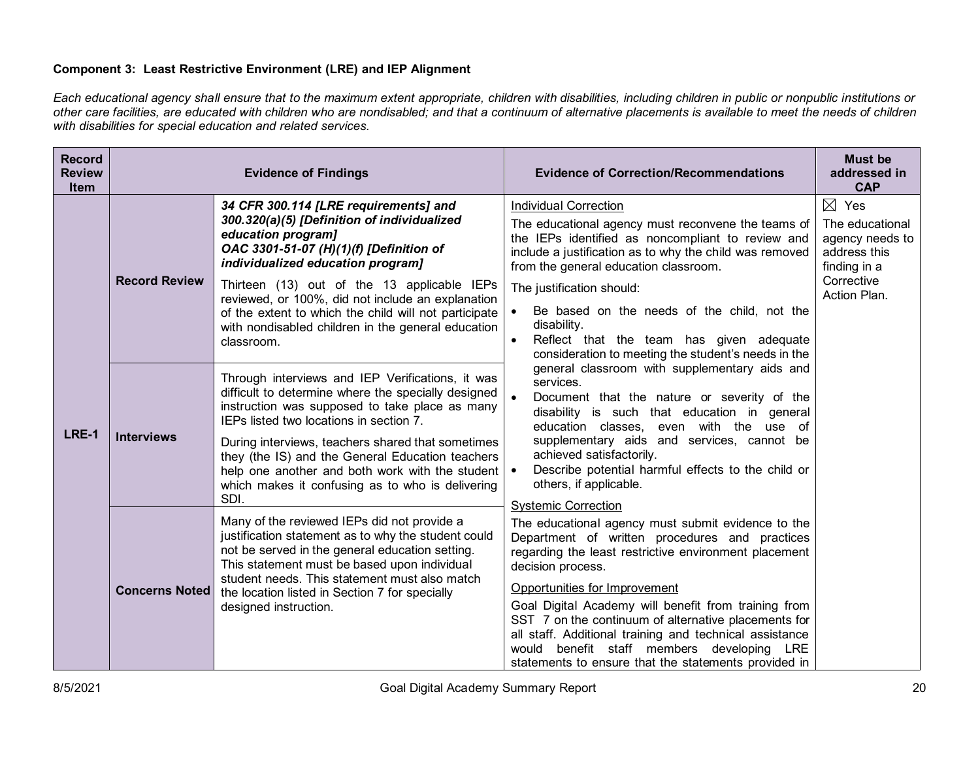# **Component 3: Least Restrictive Environment (LRE) and IEP Alignment**

*Each educational agency shall ensure that to the maximum extent appropriate, children with disabilities, including children in public or nonpublic institutions or other care facilities, are educated with children who are nondisabled; and that a continuum of alternative placements is available to meet the needs of children with disabilities for special education and related services.*

| <b>Record</b><br><b>Review</b><br><b>Item</b> | <b>Evidence of Findings</b> |                                                                                                                                                                                                                                                                                                                                                                                                                              | <b>Evidence of Correction/Recommendations</b>                                                                                                                                                                                                                                                                                                                                                                                                                                                                                         | <b>Must be</b><br>addressed in<br><b>CAP</b>                                                                        |
|-----------------------------------------------|-----------------------------|------------------------------------------------------------------------------------------------------------------------------------------------------------------------------------------------------------------------------------------------------------------------------------------------------------------------------------------------------------------------------------------------------------------------------|---------------------------------------------------------------------------------------------------------------------------------------------------------------------------------------------------------------------------------------------------------------------------------------------------------------------------------------------------------------------------------------------------------------------------------------------------------------------------------------------------------------------------------------|---------------------------------------------------------------------------------------------------------------------|
| LRE-1                                         | <b>Record Review</b>        | 34 CFR 300.114 [LRE requirements] and<br>300.320(a)(5) [Definition of individualized<br>education program]<br>OAC 3301-51-07 (H)(1)(f) [Definition of<br>individualized education program]<br>Thirteen (13) out of the 13 applicable IEPs<br>reviewed, or 100%, did not include an explanation<br>of the extent to which the child will not participate<br>with nondisabled children in the general education<br>classroom.  | <b>Individual Correction</b><br>The educational agency must reconvene the teams of<br>the IEPs identified as noncompliant to review and<br>include a justification as to why the child was removed<br>from the general education classroom.<br>The justification should:<br>Be based on the needs of the child, not the<br>disability.<br>Reflect that the team has given adequate<br>$\bullet$<br>consideration to meeting the student's needs in the                                                                                | $\boxtimes$ Yes<br>The educational<br>agency needs to<br>address this<br>finding in a<br>Corrective<br>Action Plan. |
|                                               | <b>Interviews</b>           | Through interviews and IEP Verifications, it was<br>difficult to determine where the specially designed<br>instruction was supposed to take place as many<br>IEPs listed two locations in section 7.<br>During interviews, teachers shared that sometimes<br>they (the IS) and the General Education teachers<br>help one another and both work with the student<br>which makes it confusing as to who is delivering<br>SDI. | general classroom with supplementary aids and<br>services.<br>Document that the nature or severity of the<br>disability is such that education in general<br>education classes, even with the use of<br>supplementary aids and services, cannot be<br>achieved satisfactorily.<br>Describe potential harmful effects to the child or<br>others, if applicable.                                                                                                                                                                        |                                                                                                                     |
|                                               | <b>Concerns Noted</b>       | Many of the reviewed IEPs did not provide a<br>justification statement as to why the student could<br>not be served in the general education setting.<br>This statement must be based upon individual<br>student needs. This statement must also match<br>the location listed in Section 7 for specially<br>designed instruction.                                                                                            | <b>Systemic Correction</b><br>The educational agency must submit evidence to the<br>Department of written procedures and practices<br>regarding the least restrictive environment placement<br>decision process.<br>Opportunities for Improvement<br>Goal Digital Academy will benefit from training from<br>SST 7 on the continuum of alternative placements for<br>all staff. Additional training and technical assistance<br>benefit staff members developing LRE<br>would<br>statements to ensure that the statements provided in |                                                                                                                     |